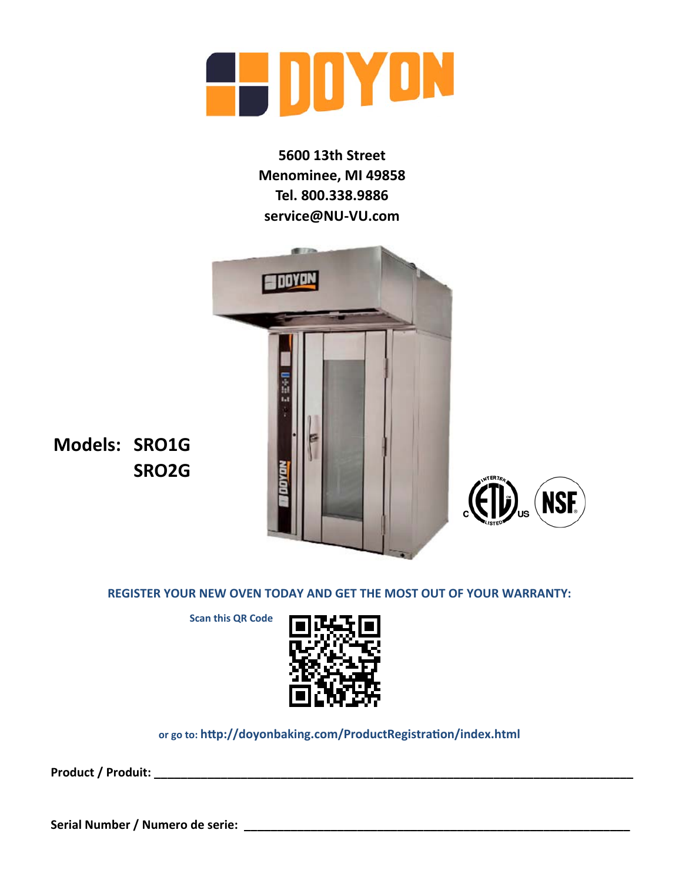

**5600 13th Street Menominee, MI 49858 Tel. 800.338.9886 service@NU‐VU.com**



**Models: SRO1G SRO2G**

**REGISTER YOUR NEW OVEN TODAY AND GET THE MOST OUT OF YOUR WARRANTY:**

**NSF.** 

 **Scan this QR Code** 



**or go to: hƩp://doyonbaking.com/ProductRegistraƟon/index.html**

**Product / Produit: \_\_\_\_\_\_\_\_\_\_\_\_\_\_\_\_\_\_\_\_\_\_\_\_\_\_\_\_\_\_\_\_\_\_\_\_\_\_\_\_\_\_\_\_\_\_\_\_\_\_\_\_\_\_\_\_\_\_\_\_\_\_\_\_\_\_\_\_\_\_\_\_**

**Serial Number / Numero de serie: \_\_\_\_\_\_\_\_\_\_\_\_\_\_\_\_\_\_\_\_\_\_\_\_\_\_\_\_\_\_\_\_\_\_\_\_\_\_\_\_\_\_\_\_\_\_\_\_\_\_\_\_\_\_\_\_\_\_**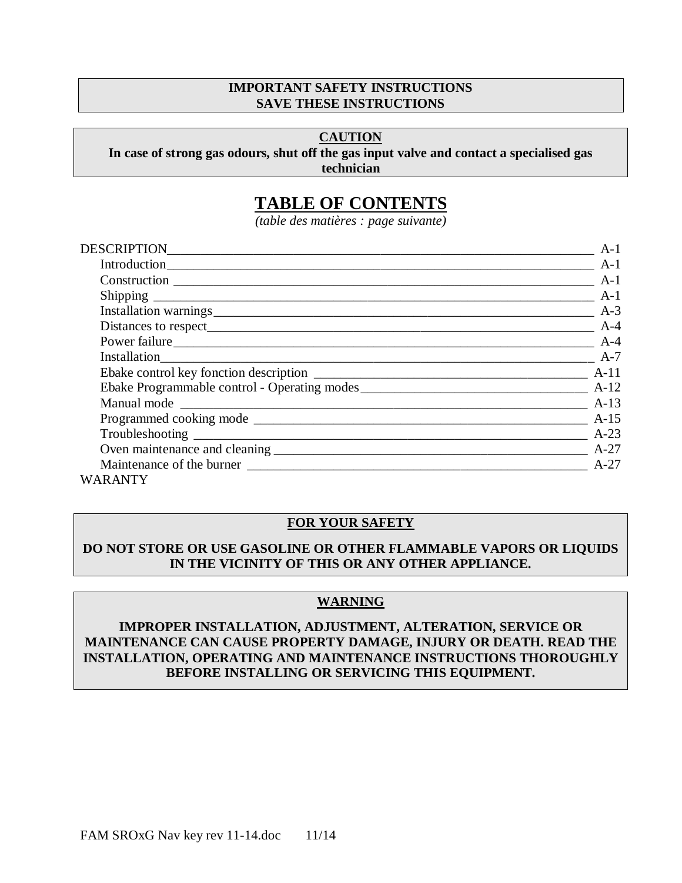#### **IMPORTANT SAFETY INSTRUCTIONS SAVE THESE INSTRUCTIONS**

#### **CAUTION**

#### **In case of strong gas odours, shut off the gas input valve and contact a specialised gas technician**

# **TABLE OF CONTENTS**

*(table des matières : page suivante)*

| DESCRIPTION <b>EXAMPLE AND RESCRIPTION</b>        | $A-1$                         |
|---------------------------------------------------|-------------------------------|
|                                                   | $\overline{\phantom{a}}$ A-1  |
|                                                   | $\overline{\phantom{a}}$ A-1  |
|                                                   | $A-1$                         |
|                                                   | $A-3$                         |
|                                                   | $\frac{1}{2}$ A-4             |
|                                                   | $\frac{1}{2}$ A-4             |
|                                                   | $\frac{1}{2}$ A-7             |
|                                                   |                               |
| Ebake Programmable control - Operating modes A-12 |                               |
|                                                   |                               |
|                                                   |                               |
|                                                   | $\overline{\phantom{1}}$ A-23 |
|                                                   |                               |
|                                                   | $A-27$                        |
| WARANTY                                           |                               |

#### **FOR YOUR SAFETY**

### **DO NOT STORE OR USE GASOLINE OR OTHER FLAMMABLE VAPORS OR LIQUIDS IN THE VICINITY OF THIS OR ANY OTHER APPLIANCE.**

#### **WARNING**

#### **IMPROPER INSTALLATION, ADJUSTMENT, ALTERATION, SERVICE OR MAINTENANCE CAN CAUSE PROPERTY DAMAGE, INJURY OR DEATH. READ THE INSTALLATION, OPERATING AND MAINTENANCE INSTRUCTIONS THOROUGHLY BEFORE INSTALLING OR SERVICING THIS EQUIPMENT.**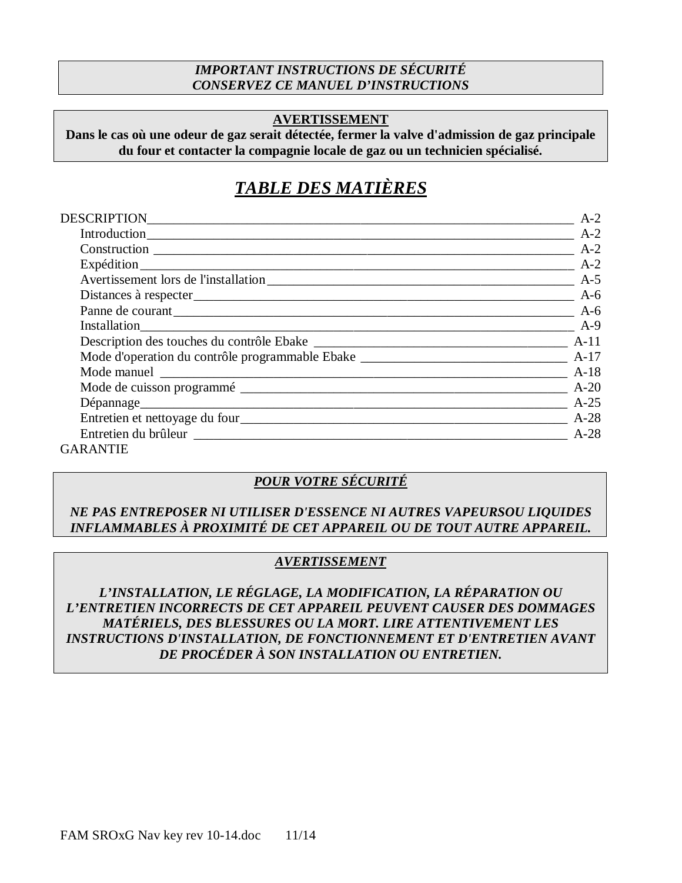### *IMPORTANT INSTRUCTIONS DE SÉCURITÉ CONSERVEZ CE MANUEL D'INSTRUCTIONS*

### **AVERTISSEMENT**

**Dans le cas où une odeur de gaz serait détectée, fermer la valve d'admission de gaz principale du four et contacter la compagnie locale de gaz ou un technicien spécialisé.**

# *TABLE DES MATIÈRES*

| DESCRIPTION________________________  | $A-2$             |
|--------------------------------------|-------------------|
| Introduction                         | $A-2$             |
|                                      | $A-2$             |
|                                      | $A-2$             |
| Avertissement lors de l'installation |                   |
|                                      | $A-6$             |
|                                      | $A-6$             |
| Installation                         | $\frac{1}{2}$ A-9 |
|                                      |                   |
|                                      |                   |
|                                      |                   |
|                                      |                   |
|                                      | $A-25$            |
|                                      | $A-28$            |
|                                      | $A-28$            |
| $C \wedge D \wedge N$ THE            |                   |

GARANTIE

### *POUR VOTRE SÉCURITÉ*

### *NE PAS ENTREPOSER NI UTILISER D'ESSENCE NI AUTRES VAPEURSOU LIQUIDES INFLAMMABLES À PROXIMITÉ DE CET APPAREIL OU DE TOUT AUTRE APPAREIL.*

### *AVERTISSEMENT*

*L'INSTALLATION, LE RÉGLAGE, LA MODIFICATION, LA RÉPARATION OU L'ENTRETIEN INCORRECTS DE CET APPAREIL PEUVENT CAUSER DES DOMMAGES MATÉRIELS, DES BLESSURES OU LA MORT. LIRE ATTENTIVEMENT LES INSTRUCTIONS D'INSTALLATION, DE FONCTIONNEMENT ET D'ENTRETIEN AVANT DE PROCÉDER À SON INSTALLATION OU ENTRETIEN.*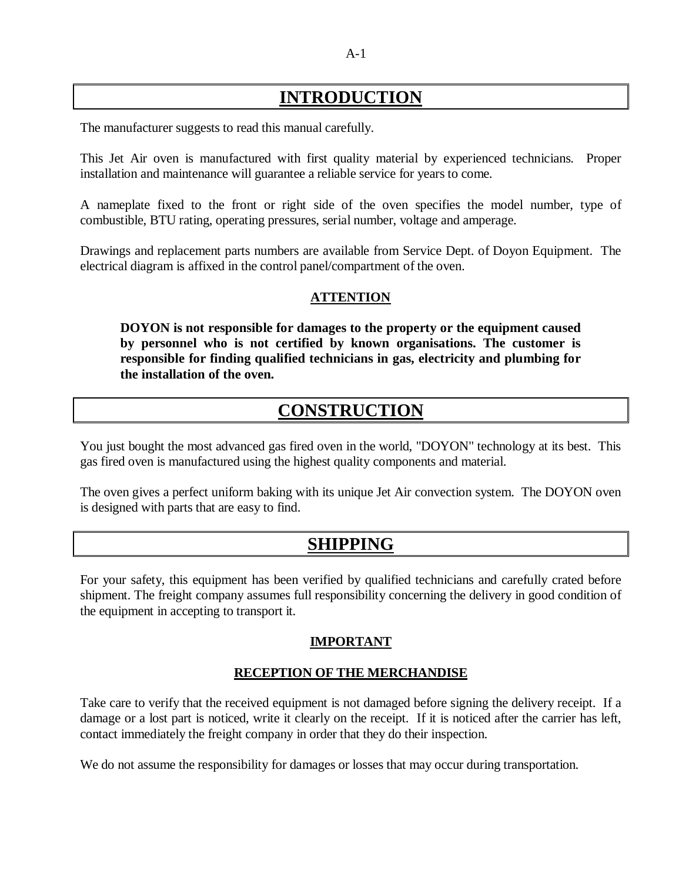# **INTRODUCTION**

The manufacturer suggests to read this manual carefully.

This Jet Air oven is manufactured with first quality material by experienced technicians. Proper installation and maintenance will guarantee a reliable service for years to come.

A nameplate fixed to the front or right side of the oven specifies the model number, type of combustible, BTU rating, operating pressures, serial number, voltage and amperage.

Drawings and replacement parts numbers are available from Service Dept. of Doyon Equipment. The electrical diagram is affixed in the control panel/compartment of the oven.

### **ATTENTION**

**DOYON is not responsible for damages to the property or the equipment caused by personnel who is not certified by known organisations. The customer is responsible for finding qualified technicians in gas, electricity and plumbing for the installation of the oven.**

# **CONSTRUCTION**

You just bought the most advanced gas fired oven in the world, "DOYON" technology at its best. This gas fired oven is manufactured using the highest quality components and material.

The oven gives a perfect uniform baking with its unique Jet Air convection system. The DOYON oven is designed with parts that are easy to find.

# **SHIPPING**

For your safety, this equipment has been verified by qualified technicians and carefully crated before shipment. The freight company assumes full responsibility concerning the delivery in good condition of the equipment in accepting to transport it.

### **IMPORTANT**

### **RECEPTION OF THE MERCHANDISE**

Take care to verify that the received equipment is not damaged before signing the delivery receipt. If a damage or a lost part is noticed, write it clearly on the receipt. If it is noticed after the carrier has left, contact immediately the freight company in order that they do their inspection.

We do not assume the responsibility for damages or losses that may occur during transportation.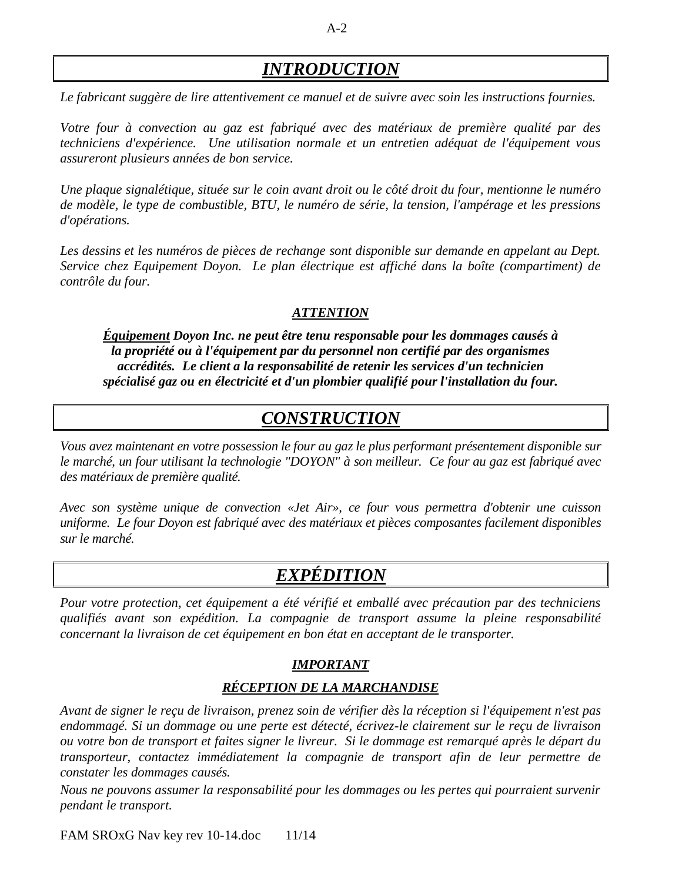# *INTRODUCTION*

*Le fabricant suggère de lire attentivement ce manuel et de suivre avec soin les instructions fournies.*

*Votre four à convection au gaz est fabriqué avec des matériaux de première qualité par des techniciens d'expérience. Une utilisation normale et un entretien adéquat de l'équipement vous assureront plusieurs années de bon service.*

*Une plaque signalétique, située sur le coin avant droit ou le côté droit du four, mentionne le numéro de modèle, le type de combustible, BTU, le numéro de série, la tension, l'ampérage et les pressions d'opérations.*

Les dessins et les numéros de pièces de rechange sont disponible sur demande en appelant au Dept. *Service chez Equipement Doyon. Le plan électrique est affiché dans la boîte (compartiment) de contrôle du four.*

### *ATTENTION*

*Équipement Doyon Inc. ne peut être tenu responsable pour les dommages causés à la propriété ou à l'équipement par du personnel non certifié par des organismes accrédités. Le client a la responsabilité de retenir les services d'un technicien spécialisé gaz ou en électricité et d'un plombier qualifié pour l'installation du four.*

# *CONSTRUCTION*

*Vous avez maintenant en votre possession le four au gaz le plus performant présentement disponible sur le marché, un four utilisant la technologie "DOYON" à son meilleur. Ce four au gaz est fabriqué avec des matériaux de première qualité.*

*Avec son système unique de convection «Jet Air», ce four vous permettra d'obtenir une cuisson uniforme. Le four Doyon est fabriqué avec des matériaux et pièces composantes facilement disponibles sur le marché.*

# *EXPÉDITION*

*Pour votre protection, cet équipement a été vérifié et emballé avec précaution par des techniciens qualifiés avant son expédition. La compagnie de transport assume la pleine responsabilité concernant la livraison de cet équipement en bon état en acceptant de le transporter.*

### *IMPORTANT*

### *RÉCEPTION DE LA MARCHANDISE*

*Avant de signer le reçu de livraison, prenez soin de vérifier dès la réception si l'équipement n'est pas endommagé. Si un dommage ou une perte est détecté, écrivez-le clairement sur le reçu de livraison ou votre bon de transport et faites signer le livreur. Si le dommage est remarqué après le départ du transporteur, contactez immédiatement la compagnie de transport afin de leur permettre de constater les dommages causés.*

*Nous ne pouvons assumer la responsabilité pour les dommages ou les pertes qui pourraient survenir pendant le transport.*

FAM SROxG Nav key rev 10-14.doc 11/14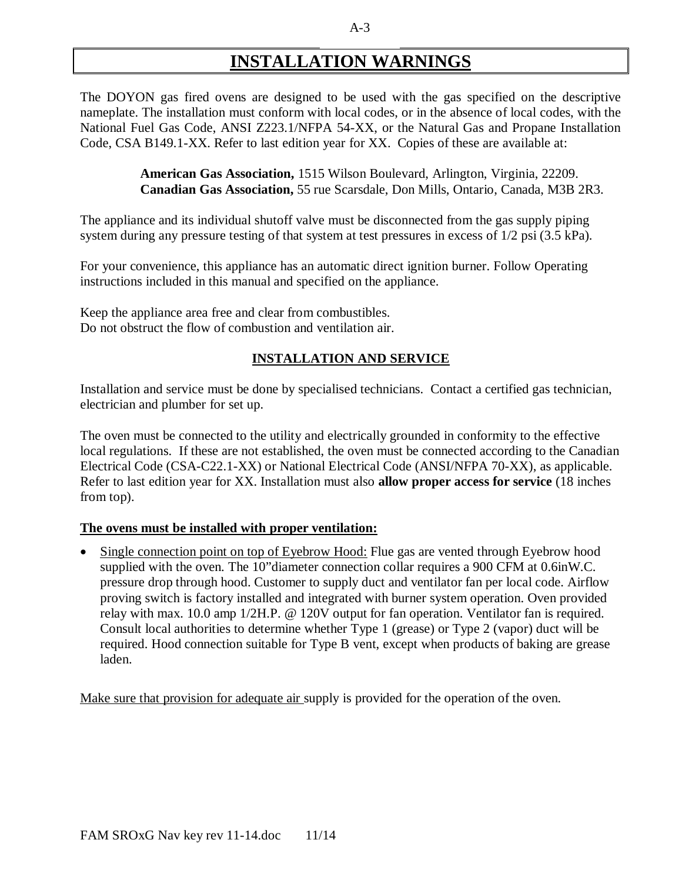# **INSTALLATION WARNINGS**

The DOYON gas fired ovens are designed to be used with the gas specified on the descriptive nameplate. The installation must conform with local codes, or in the absence of local codes, with the National Fuel Gas Code, ANSI Z223.1/NFPA 54-XX, or the Natural Gas and Propane Installation Code, CSA B149.1-XX. Refer to last edition year for XX. Copies of these are available at:

> **American Gas Association,** 1515 Wilson Boulevard, Arlington, Virginia, 22209. **Canadian Gas Association,** 55 rue Scarsdale, Don Mills, Ontario, Canada, M3B 2R3.

The appliance and its individual shutoff valve must be disconnected from the gas supply piping system during any pressure testing of that system at test pressures in excess of 1/2 psi (3.5 kPa).

For your convenience, this appliance has an automatic direct ignition burner. Follow Operating instructions included in this manual and specified on the appliance.

Keep the appliance area free and clear from combustibles. Do not obstruct the flow of combustion and ventilation air.

#### **INSTALLATION AND SERVICE**

Installation and service must be done by specialised technicians. Contact a certified gas technician, electrician and plumber for set up.

The oven must be connected to the utility and electrically grounded in conformity to the effective local regulations. If these are not established, the oven must be connected according to the Canadian Electrical Code (CSA-C22.1-XX) or National Electrical Code (ANSI/NFPA 70-XX), as applicable. Refer to last edition year for XX. Installation must also **allow proper access for service** (18 inches from top).

#### **The ovens must be installed with proper ventilation:**

• Single connection point on top of Eyebrow Hood: Flue gas are vented through Eyebrow hood supplied with the oven. The 10"diameter connection collar requires a 900 CFM at 0.6inW.C. pressure drop through hood. Customer to supply duct and ventilator fan per local code. Airflow proving switch is factory installed and integrated with burner system operation. Oven provided relay with max. 10.0 amp 1/2H.P. @ 120V output for fan operation. Ventilator fan is required. Consult local authorities to determine whether Type 1 (grease) or Type 2 (vapor) duct will be required. Hood connection suitable for Type B vent, except when products of baking are grease laden.

Make sure that provision for adequate air supply is provided for the operation of the oven.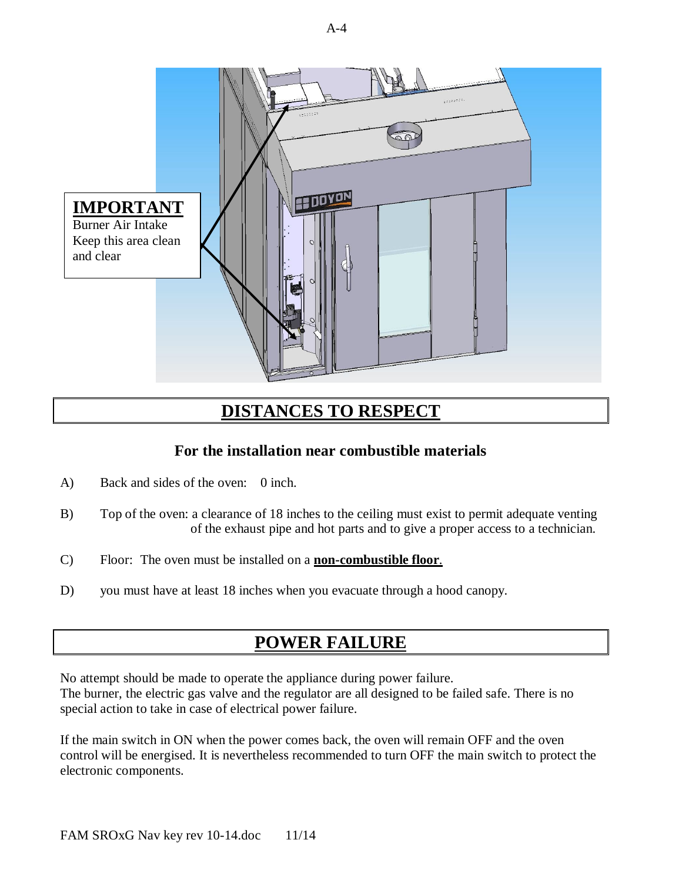

# **DISTANCES TO RESPECT**

### **For the installation near combustible materials**

- A) Back and sides of the oven: 0 inch.
- B) Top of the oven: a clearance of 18 inches to the ceiling must exist to permit adequate venting of the exhaust pipe and hot parts and to give a proper access to a technician.
- C) Floor: The oven must be installed on a **non-combustible floor**.
- D) you must have at least 18 inches when you evacuate through a hood canopy.

# **POWER FAILURE**

No attempt should be made to operate the appliance during power failure. The burner, the electric gas valve and the regulator are all designed to be failed safe. There is no special action to take in case of electrical power failure.

If the main switch in ON when the power comes back, the oven will remain OFF and the oven control will be energised. It is nevertheless recommended to turn OFF the main switch to protect the electronic components.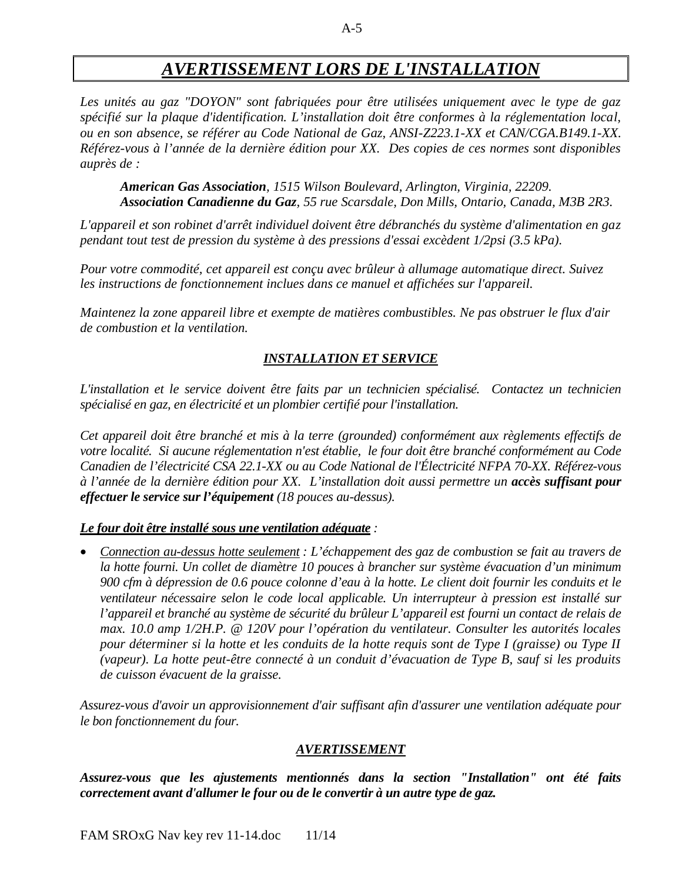# *AVERTISSEMENT LORS DE L'INSTALLATION*

*Les unités au gaz "DOYON" sont fabriquées pour être utilisées uniquement avec le type de gaz spécifié sur la plaque d'identification. L'installation doit être conformes à la réglementation local, ou en son absence, se référer au Code National de Gaz, ANSI-Z223.1-XX et CAN/CGA.B149.1-XX. Référez-vous à l'année de la dernière édition pour XX. Des copies de ces normes sont disponibles auprès de :*

*American Gas Association, 1515 Wilson Boulevard, Arlington, Virginia, 22209. Association Canadienne du Gaz, 55 rue Scarsdale, Don Mills, Ontario, Canada, M3B 2R3.*

*L'appareil et son robinet d'arrêt individuel doivent être débranchés du système d'alimentation en gaz pendant tout test de pression du système à des pressions d'essai excèdent 1/2psi (3.5 kPa).*

*Pour votre commodité, cet appareil est conçu avec brûleur à allumage automatique direct. Suivez les instructions de fonctionnement inclues dans ce manuel et affichées sur l'appareil.*

*Maintenez la zone appareil libre et exempte de matières combustibles. Ne pas obstruer le flux d'air de combustion et la ventilation.*

### *INSTALLATION ET SERVICE*

*L'installation et le service doivent être faits par un technicien spécialisé. Contactez un technicien spécialisé en gaz, en électricité et un plombier certifié pour l'installation.*

*Cet appareil doit être branché et mis à la terre (grounded) conformément aux règlements effectifs de votre localité. Si aucune réglementation n'est établie, le four doit être branché conformément au Code Canadien de l'électricité CSA 22.1-XX ou au Code National de l'Électricité NFPA 70-XX. Référez-vous à l'année de la dernière édition pour XX. L'installation doit aussi permettre un accès suffisant pour effectuer le service sur l'équipement (18 pouces au-dessus).*

#### *Le four doit être installé sous une ventilation adéquate :*

 *Connection au-dessus hotte seulement : L'échappement des gaz de combustion se fait au travers de la hotte fourni. Un collet de diamètre 10 pouces à brancher sur système évacuation d'un minimum 900 cfm à dépression de 0.6 pouce colonne d'eau à la hotte. Le client doit fournir les conduits et le ventilateur nécessaire selon le code local applicable. Un interrupteur à pression est installé sur l'appareil et branché au système de sécurité du brûleur L'appareil est fourni un contact de relais de max. 10.0 amp 1/2H.P. @ 120V pour l'opération du ventilateur. Consulter les autorités locales pour déterminer si la hotte et les conduits de la hotte requis sont de Type I (graisse) ou Type II (vapeur). La hotte peut-être connecté à un conduit d'évacuation de Type B, sauf si les produits de cuisson évacuent de la graisse.*

*Assurez-vous d'avoir un approvisionnement d'air suffisant afin d'assurer une ventilation adéquate pour le bon fonctionnement du four.*

#### *AVERTISSEMENT*

*Assurez-vous que les ajustements mentionnés dans la section "Installation" ont été faits correctement avant d'allumer le four ou de le convertir à un autre type de gaz.*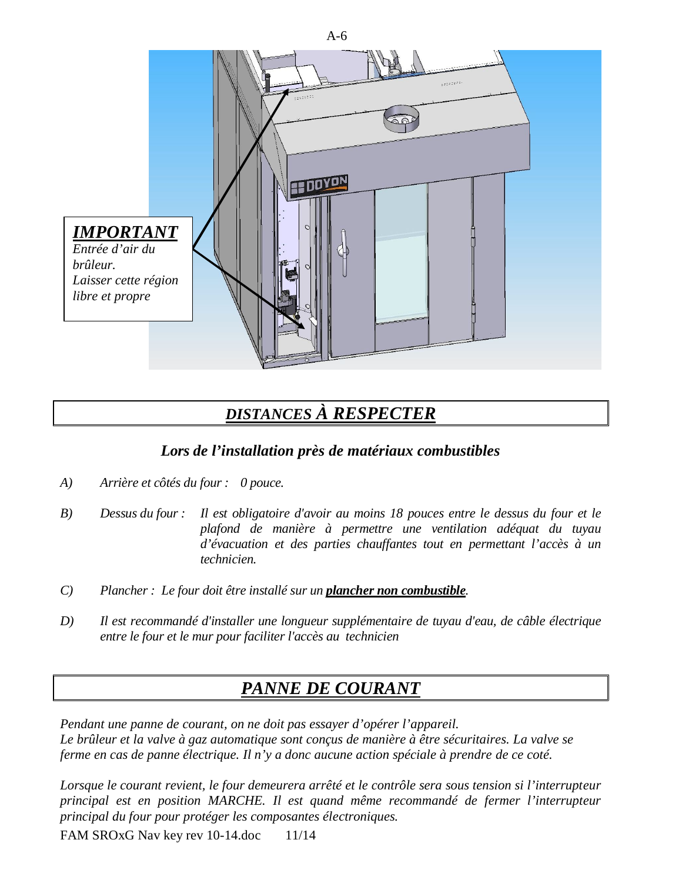

# *DISTANCES À RESPECTER*

### *Lors de l'installation près de matériaux combustibles*

- *A) Arrière et côtés du four : 0 pouce.*
- *B) Dessus du four : Il est obligatoire d'avoir au moins 18 pouces entre le dessus du four et le plafond de manière à permettre une ventilation adéquat du tuyau d'évacuation et des parties chauffantes tout en permettant l'accès à un technicien.*
- *C) Plancher : Le four doit être installé sur un plancher non combustible.*
- *D) Il est recommandé d'installer une longueur supplémentaire de tuyau d'eau, de câble électrique entre le four et le mur pour faciliter l'accès au technicien*

# *PANNE DE COURANT*

*Pendant une panne de courant, on ne doit pas essayer d'opérer l'appareil. Le brûleur et la valve à gaz automatique sont conçus de manière à être sécuritaires. La valve se ferme en cas de panne électrique. Il n'y a donc aucune action spéciale à prendre de ce coté.*

*Lorsque le courant revient, le four demeurera arrêté et le contrôle sera sous tension si l'interrupteur principal est en position MARCHE. Il est quand même recommandé de fermer l'interrupteur principal du four pour protéger les composantes électroniques.*

FAM SROxG Nav key rev 10-14.doc 11/14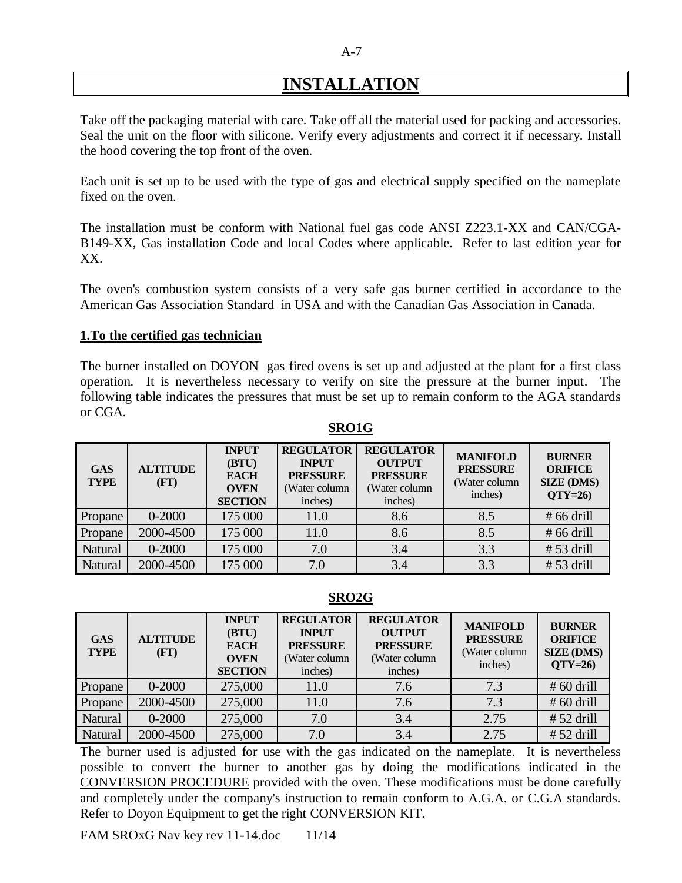# **INSTALLATION**

Take off the packaging material with care. Take off all the material used for packing and accessories. Seal the unit on the floor with silicone. Verify every adjustments and correct it if necessary. Install the hood covering the top front of the oven.

Each unit is set up to be used with the type of gas and electrical supply specified on the nameplate fixed on the oven.

The installation must be conform with National fuel gas code ANSI Z223.1-XX and CAN/CGA-B149-XX, Gas installation Code and local Codes where applicable. Refer to last edition year for XX.

The oven's combustion system consists of a very safe gas burner certified in accordance to the American Gas Association Standard in USA and with the Canadian Gas Association in Canada.

#### **1.To the certified gas technician**

The burner installed on DOYON gas fired ovens is set up and adjusted at the plant for a first class operation. It is nevertheless necessary to verify on site the pressure at the burner input. The following table indicates the pressures that must be set up to remain conform to the AGA standards or CGA.

**SRO1G**

| <b>GAS</b><br><b>TYPE</b> | <b>ALTITUDE</b><br>(FT) | <b>INPUT</b><br>(BTU)<br><b>EACH</b><br><b>OVEN</b><br><b>SECTION</b> | <b>REGULATOR</b><br><b>INPUT</b><br><b>PRESSURE</b><br>(Water column<br>inches) | <b>REGULATOR</b><br><b>OUTPUT</b><br><b>PRESSURE</b><br>(Water column<br>inches) | <b>MANIFOLD</b><br><b>PRESSURE</b><br>(Water column<br>inches) | <b>BURNER</b><br><b>ORIFICE</b><br><b>SIZE (DMS)</b><br>$OTY=26$ |
|---------------------------|-------------------------|-----------------------------------------------------------------------|---------------------------------------------------------------------------------|----------------------------------------------------------------------------------|----------------------------------------------------------------|------------------------------------------------------------------|
| Propane                   | $0 - 2000$              | 175 000                                                               | 11.0                                                                            | 8.6                                                                              | 8.5                                                            | $#66$ drill                                                      |
| Propane                   | 2000-4500               | 175 000                                                               | 11.0                                                                            | 8.6                                                                              | 8.5                                                            | $#66$ drill                                                      |
| Natural                   | $0 - 2000$              | 175 000                                                               | 7.0                                                                             | 3.4                                                                              | 3.3                                                            | $# 53$ drill                                                     |
| Natural                   | 2000-4500               | 175 000                                                               | 7.0                                                                             | 3.4                                                                              | 3.3                                                            | $# 53$ drill                                                     |

#### **SRO2G**

| <b>GAS</b><br><b>TYPE</b> | <b>ALTITUDE</b><br>(FT) | <b>INPUT</b><br>(BTU)<br><b>EACH</b><br><b>OVEN</b><br><b>SECTION</b> | <b>REGULATOR</b><br><b>INPUT</b><br><b>PRESSURE</b><br>(Water column<br>inches) | <b>REGULATOR</b><br><b>OUTPUT</b><br><b>PRESSURE</b><br>(Water column<br>inches) | <b>MANIFOLD</b><br><b>PRESSURE</b><br>(Water column<br>inches) | <b>BURNER</b><br><b>ORIFICE</b><br><b>SIZE (DMS)</b><br>$QTY=26$ |
|---------------------------|-------------------------|-----------------------------------------------------------------------|---------------------------------------------------------------------------------|----------------------------------------------------------------------------------|----------------------------------------------------------------|------------------------------------------------------------------|
| Propane                   | $0 - 2000$              | 275,000                                                               | 11.0                                                                            | 7.6                                                                              | 7.3                                                            | $# 60$ drill                                                     |
| Propane                   | 2000-4500               | 275,000                                                               | 11.0                                                                            | 7.6                                                                              | 7.3                                                            | $# 60$ drill                                                     |
| <b>Natural</b>            | $0 - 2000$              | 275,000                                                               | 7.0                                                                             | 3.4                                                                              | 2.75                                                           | $# 52$ drill                                                     |
| Natural                   | 2000-4500               | 275,000                                                               | 7.0                                                                             | 3.4                                                                              | 2.75                                                           | $# 52$ drill                                                     |

The burner used is adjusted for use with the gas indicated on the nameplate. It is nevertheless possible to convert the burner to another gas by doing the modifications indicated in the CONVERSION PROCEDURE provided with the oven. These modifications must be done carefully and completely under the company's instruction to remain conform to A.G.A. or C.G.A standards. Refer to Doyon Equipment to get the right CONVERSION KIT.

FAM SROxG Nav key rev 11-14.doc 11/14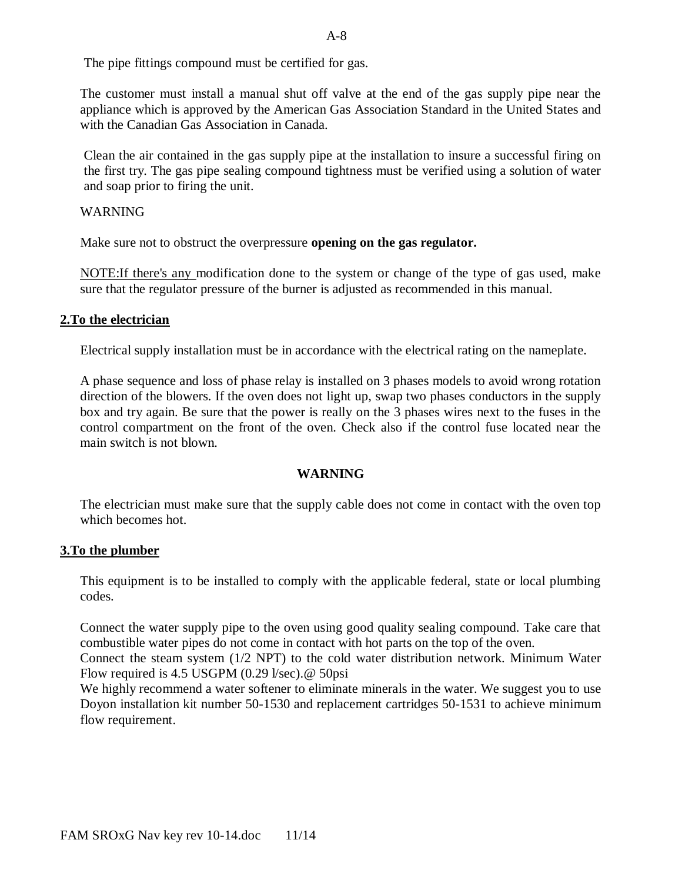The pipe fittings compound must be certified for gas.

The customer must install a manual shut off valve at the end of the gas supply pipe near the appliance which is approved by the American Gas Association Standard in the United States and with the Canadian Gas Association in Canada.

Clean the air contained in the gas supply pipe at the installation to insure a successful firing on the first try. The gas pipe sealing compound tightness must be verified using a solution of water and soap prior to firing the unit.

#### WARNING

Make sure not to obstruct the overpressure **opening on the gas regulator.**

NOTE:If there's any modification done to the system or change of the type of gas used, make sure that the regulator pressure of the burner is adjusted as recommended in this manual.

#### **2.To the electrician**

Electrical supply installation must be in accordance with the electrical rating on the nameplate.

A phase sequence and loss of phase relay is installed on 3 phases models to avoid wrong rotation direction of the blowers. If the oven does not light up, swap two phases conductors in the supply box and try again. Be sure that the power is really on the 3 phases wires next to the fuses in the control compartment on the front of the oven. Check also if the control fuse located near the main switch is not blown.

#### **WARNING**

The electrician must make sure that the supply cable does not come in contact with the oven top which becomes hot.

#### **3.To the plumber**

This equipment is to be installed to comply with the applicable federal, state or local plumbing codes.

Connect the water supply pipe to the oven using good quality sealing compound. Take care that combustible water pipes do not come in contact with hot parts on the top of the oven.

Connect the steam system (1/2 NPT) to the cold water distribution network. Minimum Water Flow required is 4.5 USGPM (0.29 l/sec).@ 50psi

We highly recommend a water softener to eliminate minerals in the water. We suggest you to use Doyon installation kit number 50-1530 and replacement cartridges 50-1531 to achieve minimum flow requirement.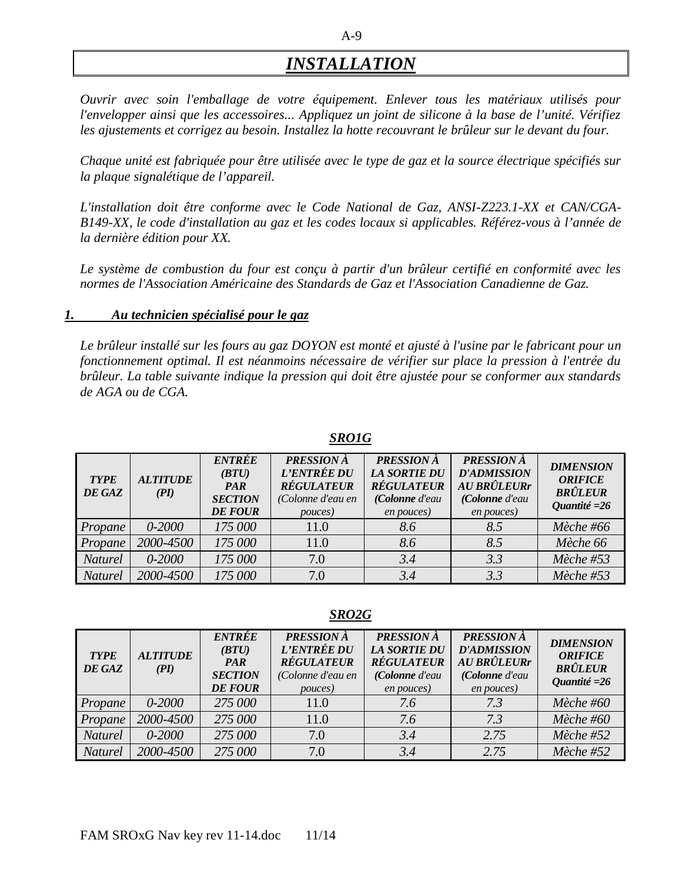# *INSTALLATION*

*Ouvrir avec soin l'emballage de votre équipement. Enlever tous les matériaux utilisés pour l'envelopper ainsi que les accessoires... Appliquez un joint de silicone à la base de l'unité. Vérifiez les ajustements et corrigez au besoin. Installez la hotte recouvrant le brûleur sur le devant du four.* 

*Chaque unité est fabriquée pour être utilisée avec le type de gaz et la source électrique spécifiés sur la plaque signalétique de l'appareil.*

*L'installation doit être conforme avec le Code National de Gaz, ANSI-Z223.1-XX et CAN/CGA-B149-XX, le code d'installation au gaz et les codes locaux si applicables. Référez-vous à l'année de la dernière édition pour XX.*

*Le système de combustion du four est conçu à partir d'un brûleur certifié en conformité avec les normes de l'Association Américaine des Standards de Gaz et l'Association Canadienne de Gaz.*

#### *1. Au technicien spécialisé pour le gaz*

*Le brûleur installé sur les fours au gaz DOYON est monté et ajusté à l'usine par le fabricant pour un fonctionnement optimal. Il est néanmoins nécessaire de vérifier sur place la pression à l'entrée du brûleur. La table suivante indique la pression qui doit être ajustée pour se conformer aux standards de AGA ou de CGA.*

| <b>TYPE</b><br>DE GAZ | <b>ALTITUDE</b><br>(PI) | <b>ENTRÉE</b><br>(BTU)<br><b>PAR</b><br><b>SECTION</b><br><b>DE FOUR</b> | <b>PRESSION</b> À<br>L'ENTRÉE DU<br><b>RÉGULATEUR</b><br>(Colonne d'eau en<br>pouces) | <b>PRESSION</b> À<br><b>LA SORTIE DU</b><br><b>RÉGULATEUR</b><br>(Colonne d'eau<br>en pouces) | <b>PRESSION</b> À<br><b>D'ADMISSION</b><br>AU BRÛLEURr<br>(Colonne d'eau<br>en pouces) | <b>DIMENSION</b><br><b>ORIFICE</b><br><b>BRÛLEUR</b><br>Quantité = $26$ |
|-----------------------|-------------------------|--------------------------------------------------------------------------|---------------------------------------------------------------------------------------|-----------------------------------------------------------------------------------------------|----------------------------------------------------------------------------------------|-------------------------------------------------------------------------|
| Propane               | 0-2000                  | 175 000                                                                  | 11.0                                                                                  | 8.6                                                                                           | 8.5                                                                                    | Mèche #66                                                               |
| Propane               | 2000-4500               | 175 000                                                                  | 11.0                                                                                  | 8.6                                                                                           | 8.5                                                                                    | Mèche 66                                                                |
| <b>Naturel</b>        | $0 - 2000$              | 175 000                                                                  | 7.0                                                                                   | 3.4                                                                                           | 3.3                                                                                    | Mèche #53                                                               |
| <b>Naturel</b>        | 2000-4500               | 175 000                                                                  | 7.0                                                                                   | 3.4                                                                                           | 3.3                                                                                    | Mèche #53                                                               |

#### *SRO1G*

*SRO2G*

| <b>TYPE</b><br>DE GAZ | <b>ALTITUDE</b><br>(PI) | <b>ENTRÉE</b><br>(BTU)<br><b>PAR</b><br><b>SECTION</b><br><b>DE FOUR</b> | <b>PRESSION</b> À<br>L'ENTRÉE DU<br><b>RÉGULATEUR</b><br>(Colonne d'eau en<br>pouces) | <b>PRESSION</b> À<br><b>LA SORTIE DU</b><br><b>RÉGULATEUR</b><br>(Colonne d'eau<br>en pouces) | <b>PRESSION</b> À<br><b>D'ADMISSION</b><br>AU BRÛLEURr<br>(Colonne d'eau<br>en pouces) | <b>DIMENSION</b><br><b>ORIFICE</b><br><b>BRÛLEUR</b><br>Quantité = $26$ |
|-----------------------|-------------------------|--------------------------------------------------------------------------|---------------------------------------------------------------------------------------|-----------------------------------------------------------------------------------------------|----------------------------------------------------------------------------------------|-------------------------------------------------------------------------|
| Propane               | $0 - 2000$              | 275 000                                                                  | 11.0                                                                                  | 7.6                                                                                           | 7.3                                                                                    | Mèche #60                                                               |
| Propane               | 2000-4500               | 275 000                                                                  | 11.0                                                                                  | 7.6                                                                                           | 73                                                                                     | Mèche #60                                                               |
| <b>Naturel</b>        | $0 - 2000$              | 275 000                                                                  | 7.0                                                                                   | 3.4                                                                                           | 2.75                                                                                   | Mèche #52                                                               |
| <b>Naturel</b>        | 2000-4500               | 275 000                                                                  | 7.0                                                                                   | 3.4                                                                                           | 2.75                                                                                   | $M\grave{e}che \#52$                                                    |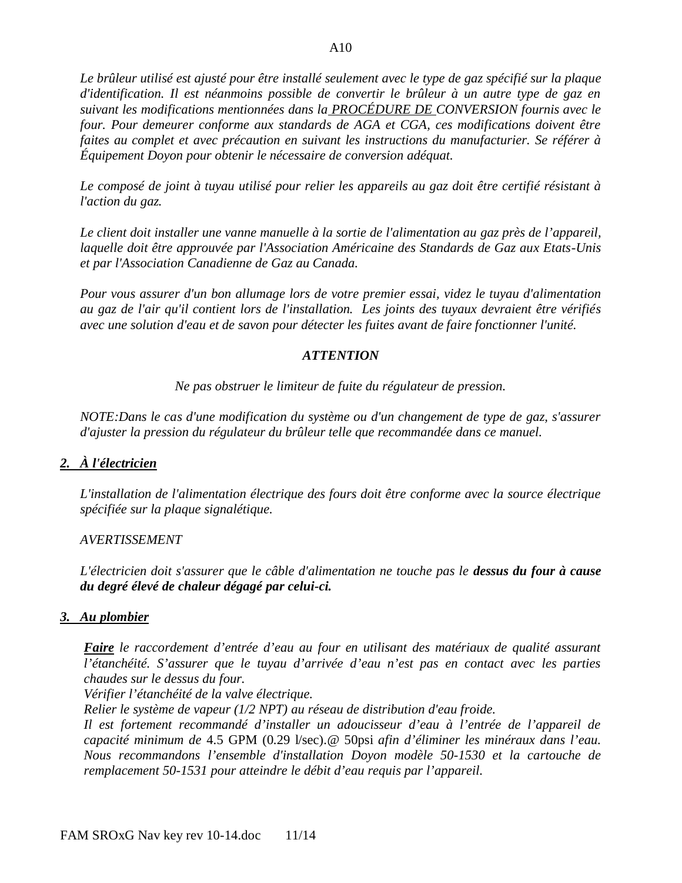*Le brûleur utilisé est ajusté pour être installé seulement avec le type de gaz spécifié sur la plaque d'identification. Il est néanmoins possible de convertir le brûleur à un autre type de gaz en suivant les modifications mentionnées dans la PROCÉDURE DE CONVERSION fournis avec le four. Pour demeurer conforme aux standards de AGA et CGA, ces modifications doivent être faites au complet et avec précaution en suivant les instructions du manufacturier. Se référer à Équipement Doyon pour obtenir le nécessaire de conversion adéquat.*

*Le composé de joint à tuyau utilisé pour relier les appareils au gaz doit être certifié résistant à l'action du gaz.*

*Le client doit installer une vanne manuelle à la sortie de l'alimentation au gaz près de l'appareil, laquelle doit être approuvée par l'Association Américaine des Standards de Gaz aux Etats-Unis et par l'Association Canadienne de Gaz au Canada.*

*Pour vous assurer d'un bon allumage lors de votre premier essai, videz le tuyau d'alimentation au gaz de l'air qu'il contient lors de l'installation. Les joints des tuyaux devraient être vérifiés avec une solution d'eau et de savon pour détecter les fuites avant de faire fonctionner l'unité.*

### *ATTENTION*

*Ne pas obstruer le limiteur de fuite du régulateur de pression.*

*NOTE:Dans le cas d'une modification du système ou d'un changement de type de gaz, s'assurer d'ajuster la pression du régulateur du brûleur telle que recommandée dans ce manuel.*

### *2. À l'électricien*

*L'installation de l'alimentation électrique des fours doit être conforme avec la source électrique spécifiée sur la plaque signalétique.*

#### *AVERTISSEMENT*

*L'électricien doit s'assurer que le câble d'alimentation ne touche pas le dessus du four à cause du degré élevé de chaleur dégagé par celui-ci.*

#### *3. Au plombier*

*Faire le raccordement d'entrée d'eau au four en utilisant des matériaux de qualité assurant l'étanchéité. S'assurer que le tuyau d'arrivée d'eau n'est pas en contact avec les parties chaudes sur le dessus du four.*

*Vérifier l'étanchéité de la valve électrique.*

*Relier le système de vapeur (1/2 NPT) au réseau de distribution d'eau froide.* 

*Il est fortement recommandé d'installer un adoucisseur d'eau à l'entrée de l'appareil de capacité minimum de* 4.5 GPM (0.29 l/sec).@ 50psi *afin d'éliminer les minéraux dans l'eau. Nous recommandons l'ensemble d'installation Doyon modèle 50-1530 et la cartouche de remplacement 50-1531 pour atteindre le débit d'eau requis par l'appareil.*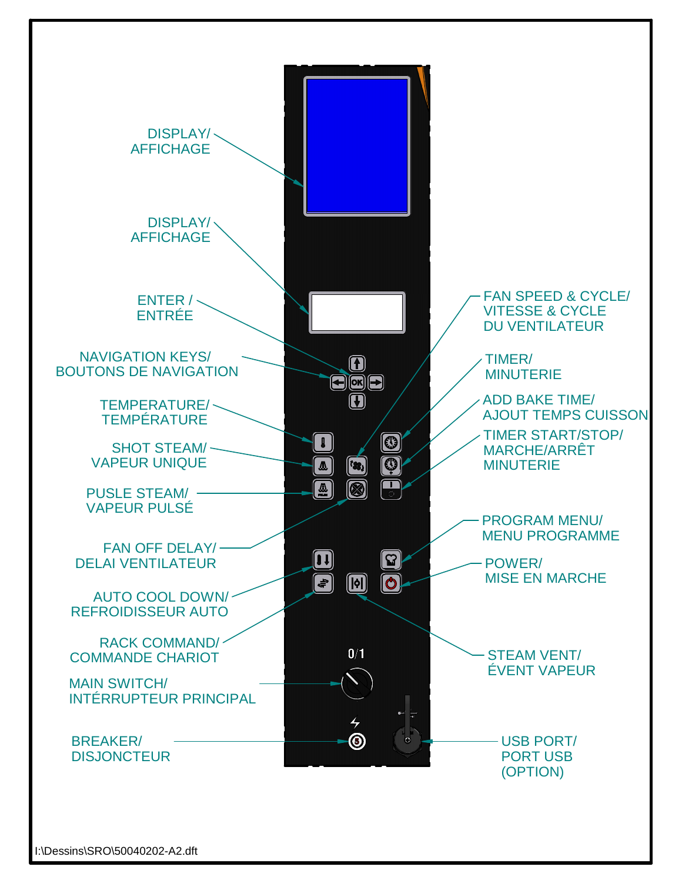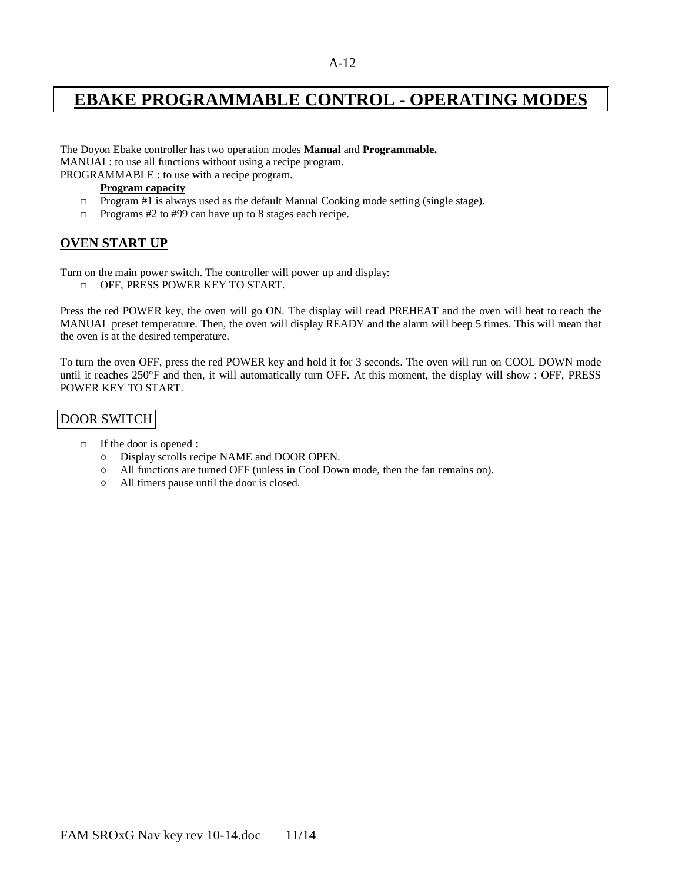# **EBAKE PROGRAMMABLE CONTROL - OPERATING MODES**

The Doyon Ebake controller has two operation modes **Manual** and **Programmable.** MANUAL: to use all functions without using a recipe program.

PROGRAMMABLE : to use with a recipe program.

**Program capacity**

- $\Box$  Program #1 is always used as the default Manual Cooking mode setting (single stage).
- □ Programs #2 to #99 can have up to 8 stages each recipe.

#### **OVEN START UP**

Turn on the main power switch. The controller will power up and display:

□ OFF, PRESS POWER KEY TO START.

Press the red POWER key, the oven will go ON. The display will read PREHEAT and the oven will heat to reach the MANUAL preset temperature. Then, the oven will display READY and the alarm will beep 5 times. This will mean that the oven is at the desired temperature.

To turn the oven OFF, press the red POWER key and hold it for 3 seconds. The oven will run on COOL DOWN mode until it reaches 250°F and then, it will automatically turn OFF. At this moment, the display will show : OFF, PRESS POWER KEY TO START.

### DOOR SWITCH

- □ If the door is opened :
	- Display scrolls recipe NAME and DOOR OPEN.
	- All functions are turned OFF (unless in Cool Down mode, then the fan remains on).
	- All timers pause until the door is closed.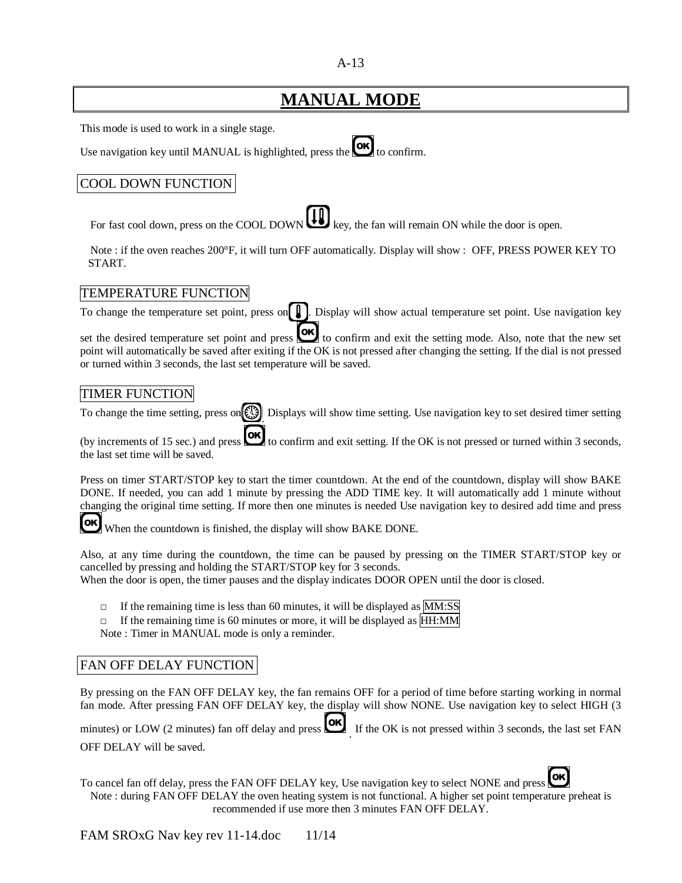#### A-13

# **MANUAL MODE**

This mode is used to work in a single stage.

Use navigation key until MANUAL is highlighted, press the  $\circledcirc$  to confirm.

### COOL DOWN FUNCTION

For fast cool down, press on the COOL DOWN  $\bigcup_{k \in \mathcal{N}} k$ , the fan will remain ON while the door is open.

Note : if the oven reaches 200°F, it will turn OFF automatically. Display will show : OFF, PRESS POWER KEY TO START.

#### TEMPERATURE FUNCTION

To change the temperature set point, press on  $\Box$ . Display will show actual temperature set point. Use navigation key

set the desired temperature set point and press  $\overrightarrow{OK}$  to confirm and exit the setting mode. Also, note that the new set point will automatically be saved after exiting if the OK is not pressed after changing the setting. If the dial is not pressed or turned within 3 seconds, the last set temperature will be saved.

#### TIMER FUNCTION

To change the time setting, press on  $\ddot{\ddot{\theta}}$ . Displays will show time setting. Use navigation key to set desired timer setting

(by increments of 15 sec.) and press  $\bullet$  to confirm and exit setting. If the OK is not pressed or turned within 3 seconds, the last set time will be saved.

Press on timer START/STOP key to start the timer countdown. At the end of the countdown, display will show BAKE DONE. If needed, you can add 1 minute by pressing the ADD TIME key. It will automatically add 1 minute without changing the original time setting. If more then one minutes is needed Use navigation key to desired add time and press

[ok] When the countdown is finished, the display will show BAKE DONE.

Also, at any time during the countdown, the time can be paused by pressing on the TIMER START/STOP key or cancelled by pressing and holding the START/STOP key for 3 seconds. When the door is open, the timer pauses and the display indicates DOOR OPEN until the door is closed.

□ If the remaining time is less than 60 minutes, it will be displayed as MM:SS

 $\Box$  If the remaining time is 60 minutes or more, it will be displayed as HH:MM Note : Timer in MANUAL mode is only a reminder.

### FAN OFF DELAY FUNCTION

By pressing on the FAN OFF DELAY key, the fan remains OFF for a period of time before starting working in normal fan mode. After pressing FAN OFF DELAY key, the display will show NONE. Use navigation key to select HIGH (3

 $\left($ ok $\right)$ minutes) or LOW (2 minutes) fan off delay and press . If the OK is not pressed within 3 seconds, the last set FAN OFF DELAY will be saved.

OK To cancel fan off delay, press the FAN OFF DELAY key, Use navigation key to select NONE and press Note : during FAN OFF DELAY the oven heating system is not functional. A higher set point temperature preheat is recommended if use more then 3 minutes FAN OFF DELAY.

FAM SROxG Nav key rev 11-14.doc  $11/14$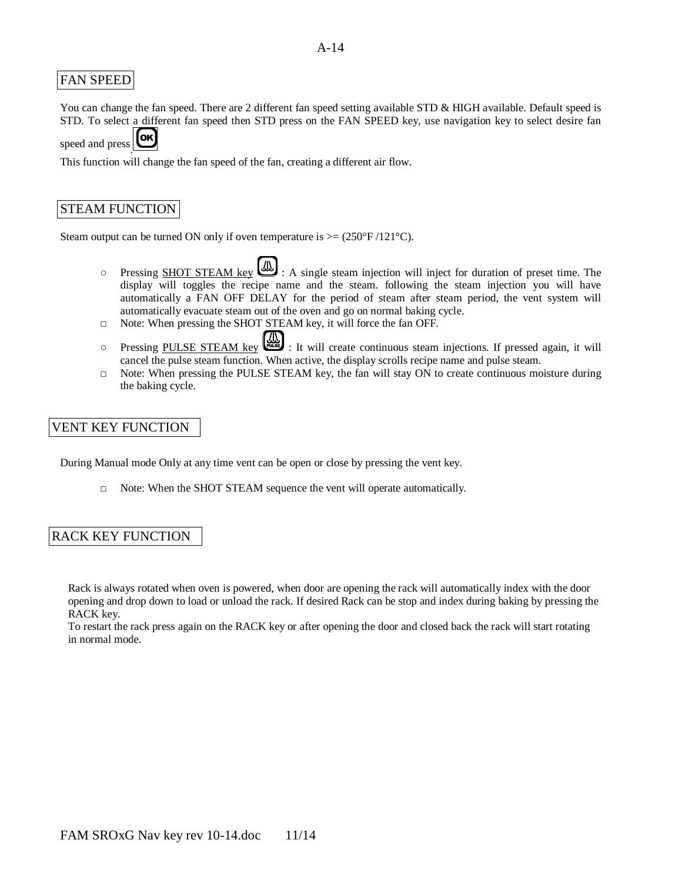#### FAN SPEED

You can change the fan speed. There are 2 different fan speed setting available STD & HIGH available. Default speed is STD. To select a different fan speed then STD press on the FAN SPEED key, use navigation key to select desire fan

**OK** speed and press .

This function will change the fan speed of the fan, creating a different air flow.

#### STEAM FUNCTION

Steam output can be turned ON only if oven temperature is  $>=(250°F/121°C)$ .

- Pressing SHOT STEAM key  $\bigcup$ : A single steam injection will inject for duration of preset time. The display will toggles the recipe name and the steam. following the steam injection you will have automatically a FAN OFF DELAY for the period of steam after steam period, the vent system will automatically evacuate steam out of the oven and go on normal baking cycle.
- □ Note: When pressing the SHOT STEAM key, it will force the fan OFF.
- Pressing PULSE STEAM key  $\left(\bigcup_{n=1}^{N} \mathbb{Z}\right)$ : It will create continuous steam injections. If pressed again, it will cancel the pulse steam function. When active, the display scrolls recipe name and pulse steam.
- □ Note: When pressing the PULSE STEAM key, the fan will stay ON to create continuous moisture during the baking cycle.

### VENT KEY FUNCTION

During Manual mode Only at any time vent can be open or close by pressing the vent key.

 $\Box$  Note: When the SHOT STEAM sequence the vent will operate automatically.

#### RACK KEY FUNCTION

Rack is always rotated when oven is powered, when door are opening the rack will automatically index with the door opening and drop down to load or unload the rack. If desired Rack can be stop and index during baking by pressing the RACK key.

To restart the rack press again on the RACK key or after opening the door and closed back the rack will start rotating in normal mode.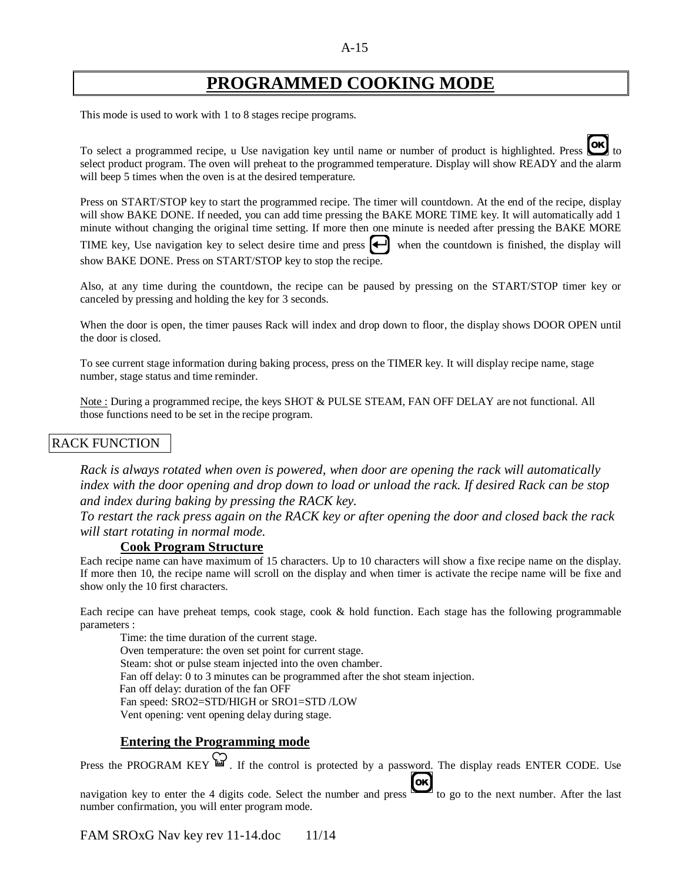## **PROGRAMMED COOKING MODE**

This mode is used to work with 1 to 8 stages recipe programs.

To select a programmed recipe, u Use navigation key until name or number of product is highlighted. Press select product program. The oven will preheat to the programmed temperature. Display will show READY and the alarm will beep 5 times when the oven is at the desired temperature.

Press on START/STOP key to start the programmed recipe. The timer will countdown. At the end of the recipe, display will show BAKE DONE. If needed, you can add time pressing the BAKE MORE TIME key. It will automatically add 1 minute without changing the original time setting. If more then one minute is needed after pressing the BAKE MORE

TIME key, Use navigation key to select desire time and press  $\left\lfloor \leftarrow \right\rfloor$  when the countdown is finished, the display will show BAKE DONE. Press on START/STOP key to stop the recipe.

Also, at any time during the countdown, the recipe can be paused by pressing on the START/STOP timer key or canceled by pressing and holding the key for 3 seconds.

When the door is open, the timer pauses Rack will index and drop down to floor, the display shows DOOR OPEN until the door is closed.

To see current stage information during baking process, press on the TIMER key. It will display recipe name, stage number, stage status and time reminder.

Note : During a programmed recipe, the keys SHOT & PULSE STEAM, FAN OFF DELAY are not functional. All those functions need to be set in the recipe program.

#### RACK FUNCTION

*Rack is always rotated when oven is powered, when door are opening the rack will automatically index with the door opening and drop down to load or unload the rack. If desired Rack can be stop and index during baking by pressing the RACK key.*

*To restart the rack press again on the RACK key or after opening the door and closed back the rack will start rotating in normal mode.*

#### **Cook Program Structure**

Each recipe name can have maximum of 15 characters. Up to 10 characters will show a fixe recipe name on the display. If more then 10, the recipe name will scroll on the display and when timer is activate the recipe name will be fixe and show only the 10 first characters.

Each recipe can have preheat temps, cook stage, cook & hold function. Each stage has the following programmable parameters :

Time: the time duration of the current stage. Oven temperature: the oven set point for current stage. Steam: shot or pulse steam injected into the oven chamber. Fan off delay: 0 to 3 minutes can be programmed after the shot steam injection. Fan off delay: duration of the fan OFF Fan speed: SRO2=STD/HIGH or SRO1=STD /LOW Vent opening: vent opening delay during stage.

#### **Entering the Programming mode**

Press the PROGRAM KEY  $\mathbb{Z}$ . If the control is protected by a password. The display reads ENTER CODE. Use

navigation key to enter the 4 digits code. Select the number and press  $\overline{\text{Cok}}$  to go to the next number. After the last number confirmation, you will enter program mode.

FAM SROxG Nav key rev 11-14.doc 11/14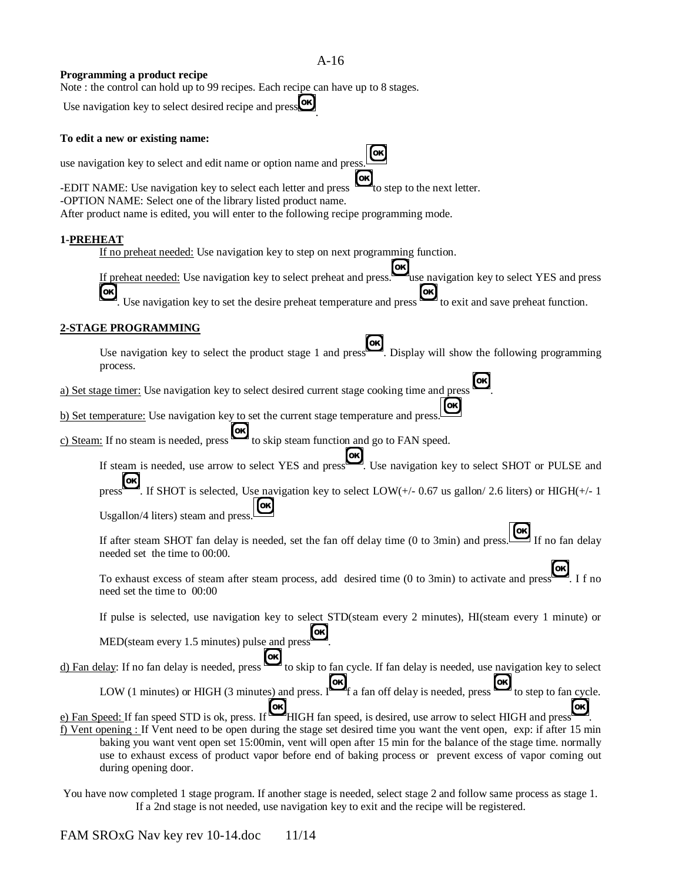#### A-16

.

#### **Programming a product recipe**

Note : the control can hold up to 99 recipes. Each recipe can have up to 8 stages.

Use navigation key to select desired recipe and press

#### **To edit a new or existing name:**

use navigation key to select and edit name or option name and press.

-EDIT NAME: Use navigation key to select each letter and press  $\Box$  to step to the next letter.

-OPTION NAME: Select one of the library listed product name.

After product name is edited, you will enter to the following recipe programming mode.

#### **1-PREHEAT**

If no preheat needed: Use navigation key to step on next programming function.

If preheat needed: Use navigation key to select preheat and press. use navigation key to select YES and press Use navigation key to set the desire preheat temperature and press to exit and save preheat function. [ok]

#### **2-STAGE PROGRAMMING**

Use navigation key to select the product stage 1 and press . Display will show the following programming process.

a) Set stage timer: Use navigation key to select desired current stage cooking time and press .

b) Set temperature: Use navigation key to set the current stage temperature and press.

c) Steam: If no steam is needed, press to skip steam function and go to FAN speed.

If steam is needed, use arrow to select YES and press.<br>Let use navigation key to select SHOT or PULSE and

press  $\Box$ . If SHOT is selected, Use navigation key to select LOW(+/- 0.67 us gallon/ 2.6 liters) or HIGH(+/- 1

Usgallon/4 liters) steam and press.

[oĸ If after steam SHOT fan delay is needed, set the fan off delay time (0 to 3min) and press. If no fan delay needed set the time to 00:00.

To exhaust excess of steam after steam process, add desired time (0 to 3min) to activate and press need set the time to 00:00

If pulse is selected, use navigation key to select STD(steam every 2 minutes), HI(steam every 1 minute) or

MED(steam every 1.5 minutes) pulse and press [oĸ

d) Fan delay: If no fan delay is needed, press  $\Box$  to skip to fan cycle. If fan delay is needed, use navigation key to select [oĸ [OK LOW (1 minutes) or HIGH (3 minutes) and press.  $\mathbb{I}$  f a fan off delay is needed, press to step to fan cycle.

e) Fan Speed: If fan speed STD is ok, press. If HIGH fan speed, is desired, use arrow to select HIGH and press [ok]

f) Vent opening : If Vent need to be open during the stage set desired time you want the vent open, exp: if after 15 min baking you want vent open set 15:00min, vent will open after 15 min for the balance of the stage time. normally use to exhaust excess of product vapor before end of baking process or prevent excess of vapor coming out during opening door.

You have now completed 1 stage program. If another stage is needed, select stage 2 and follow same process as stage 1. If a 2nd stage is not needed, use navigation key to exit and the recipe will be registered.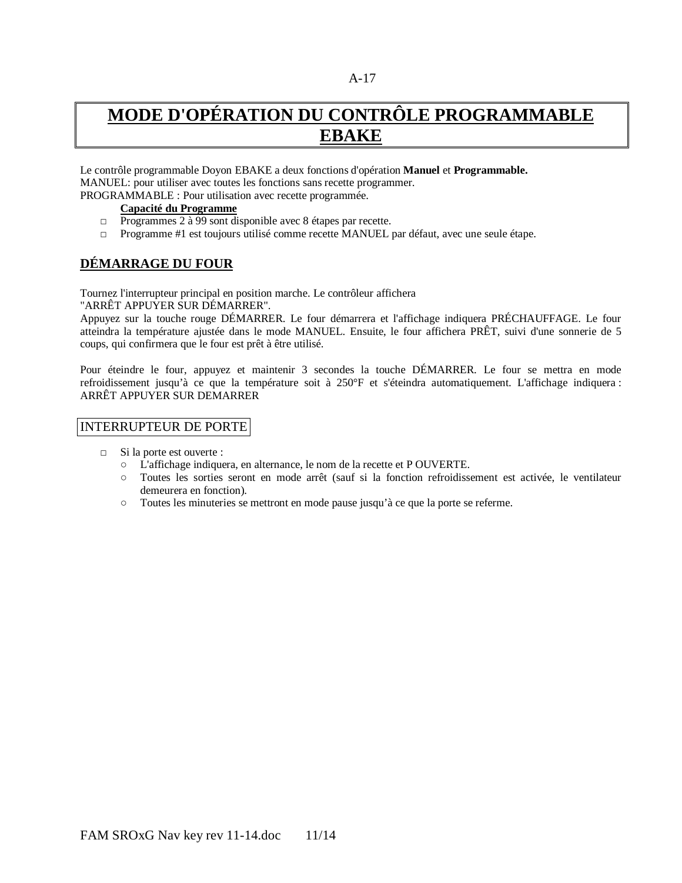# **MODE D'OPÉRATION DU CONTRÔLE PROGRAMMABLE EBAKE**

Le contrôle programmable Doyon EBAKE a deux fonctions d'opération **Manuel** et **Programmable.** MANUEL: pour utiliser avec toutes les fonctions sans recette programmer. PROGRAMMABLE : Pour utilisation avec recette programmée.

#### **Capacité du Programme**

- □ Programmes 2 à 99 sont disponible avec 8 étapes par recette.
- □ Programme #1 est toujours utilisé comme recette MANUEL par défaut, avec une seule étape.

### **DÉMARRAGE DU FOUR**

Tournez l'interrupteur principal en position marche. Le contrôleur affichera

"ARRÊT APPUYER SUR DÉMARRER".

Appuyez sur la touche rouge DÉMARRER. Le four démarrera et l'affichage indiquera PRÉCHAUFFAGE. Le four atteindra la température ajustée dans le mode MANUEL. Ensuite, le four affichera PRÊT, suivi d'une sonnerie de 5 coups, qui confirmera que le four est prêt à être utilisé.

Pour éteindre le four, appuyez et maintenir 3 secondes la touche DÉMARRER. Le four se mettra en mode refroidissement jusqu'à ce que la température soit à 250°F et s'éteindra automatiquement. L'affichage indiquera : ARRÊT APPUYER SUR DEMARRER

#### INTERRUPTEUR DE PORTE

- □ Si la porte est ouverte :
	- L'affichage indiquera, en alternance, le nom de la recette et P OUVERTE.
	- Toutes les sorties seront en mode arrêt (sauf si la fonction refroidissement est activée, le ventilateur demeurera en fonction).
	- Toutes les minuteries se mettront en mode pause jusqu'à ce que la porte se referme.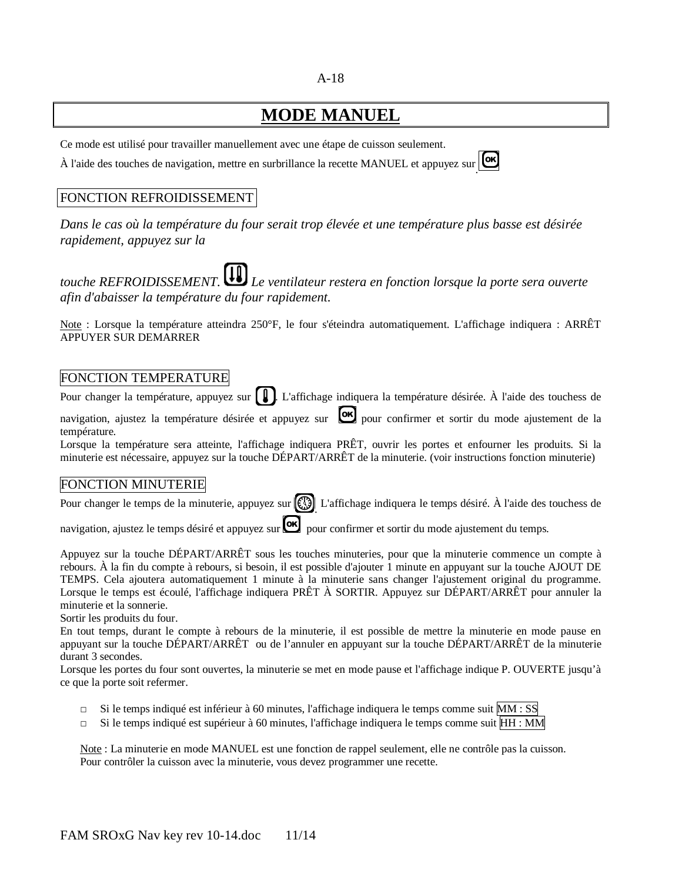#### A-18

# **MODE MANUEL**

Ce mode est utilisé pour travailler manuellement avec une étape de cuisson seulement.

À l'aide des touches de navigation, mettre en surbrillance la recette MANUEL et appuyez sur .

### FONCTION REFROIDISSEMENT

*Dans le cas où la température du four serait trop élevée et une température plus basse est désirée rapidement, appuyez sur la* 

*touche REFROIDISSEMENT. Le ventilateur restera en fonction lorsque la porte sera ouverte afin d'abaisser la température du four rapidement.* 

Note : Lorsque la température atteindra 250°F, le four s'éteindra automatiquement. L'affichage indiquera : ARRÊT APPUYER SUR DEMARRER

### FONCTION TEMPERATURE

Pour changer la température, appuyez sur  $[\,\,\pmb{\rfloor}\,\,\pmb{\rfloor}$ . L'affichage indiquera la température désirée. À l'aide des touchess de navigation, ajustez la température désirée et appuyez sur **lox** pour confirmer et sortir du mode ajustement de la température.

Lorsque la température sera atteinte, l'affichage indiquera PRÊT, ouvrir les portes et enfourner les produits. Si la minuterie est nécessaire, appuyez sur la touche DÉPART/ARRÊT de la minuterie. (voir instructions fonction minuterie)

### FONCTION MINUTERIE

Pour changer le temps de la minuterie, appuyez sur  $\binom{13}{2}$ . L'affichage indiquera le temps désiré. À l'aide des touchess de

navigation, ajustez le temps désiré et appuyez sur **lox** pour confirmer et sortir du mode ajustement du temps.

Appuyez sur la touche DÉPART/ARRÊT sous les touches minuteries, pour que la minuterie commence un compte à rebours. À la fin du compte à rebours, si besoin, il est possible d'ajouter 1 minute en appuyant sur la touche AJOUT DE TEMPS. Cela ajoutera automatiquement 1 minute à la minuterie sans changer l'ajustement original du programme. Lorsque le temps est écoulé, l'affichage indiquera PRÊT À SORTIR. Appuyez sur DÉPART/ARRÊT pour annuler la minuterie et la sonnerie.

Sortir les produits du four.

En tout temps, durant le compte à rebours de la minuterie, il est possible de mettre la minuterie en mode pause en appuyant sur la touche DÉPART/ARRÊT ou de l'annuler en appuyant sur la touche DÉPART/ARRÊT de la minuterie durant 3 secondes.

Lorsque les portes du four sont ouvertes, la minuterie se met en mode pause et l'affichage indique P. OUVERTE jusqu'à ce que la porte soit refermer.

- $\Box$  Si le temps indiqué est inférieur à 60 minutes, l'affichage indiquera le temps comme suit MM : SS
- $\Box$  Si le temps indiqué est supérieur à 60 minutes, l'affichage indiquera le temps comme suit  $HH : MM$

Note : La minuterie en mode MANUEL est une fonction de rappel seulement, elle ne contrôle pas la cuisson. Pour contrôler la cuisson avec la minuterie, vous devez programmer une recette.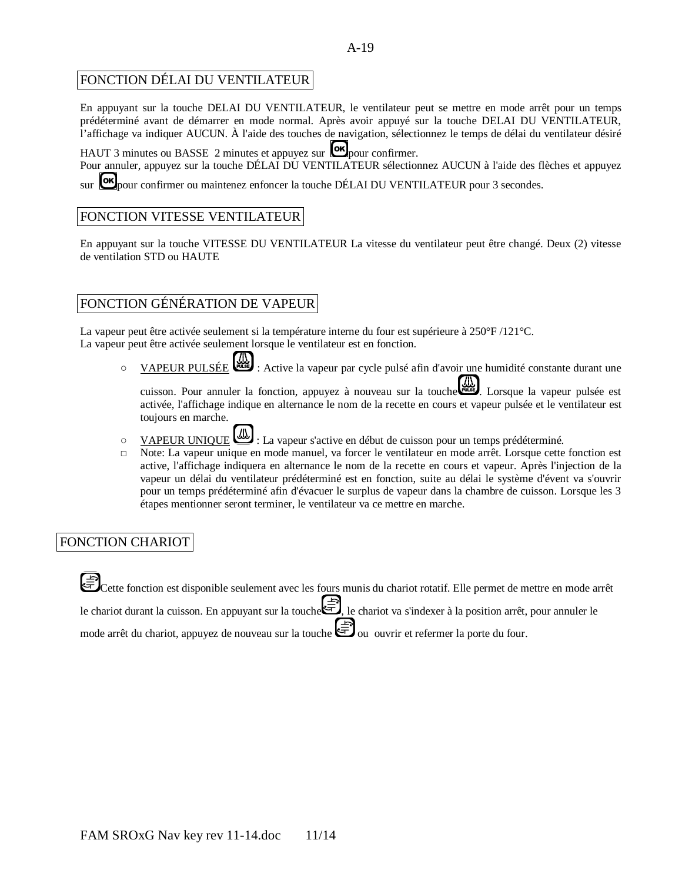#### A-19

#### FONCTION DÉLAI DU VENTILATEUR

En appuyant sur la touche DELAI DU VENTILATEUR, le ventilateur peut se mettre en mode arrêt pour un temps prédéterminé avant de démarrer en mode normal. Après avoir appuyé sur la touche DELAI DU VENTILATEUR, l'affichage va indiquer AUCUN. À l'aide des touches de navigation, sélectionnez le temps de délai du ventilateur désiré

HAUT 3 minutes ou BASSE 2 minutes et appuyez sur  $\omega$  pour confirmer.

Pour annuler, appuyez sur la touche DÉLAI DU VENTILATEUR sélectionnez AUCUN à l'aide des flèches et appuyez

sur **OK** pour confirmer ou maintenez enfoncer la touche DÉLAI DU VENTILATEUR pour 3 secondes.

### FONCTION VITESSE VENTILATEUR

En appuyant sur la touche VITESSE DU VENTILATEUR La vitesse du ventilateur peut être changé. Deux (2) vitesse de ventilation STD ou HAUTE

### FONCTION GÉNÉRATION DE VAPEUR

La vapeur peut être activée seulement si la température interne du four est supérieure à 250°F /121°C. La vapeur peut être activée seulement lorsque le ventilateur est en fonction.

O VAPEUR PULSÉE : Active la vapeur par cycle pulsé afin d'avoir une humidité constante durant une

cuisson. Pour annuler la fonction, appuyez à nouveau sur la touche est. Lorsque la vapeur pulsée est activée, l'affichage indique en alternance le nom de la recette en cours et vapeur pulsée et le ventilateur est toujours en marche.

- O VAPEUR UNIQUE : La vapeur s'active en début de cuisson pour un temps prédéterminé.
- □ Note: La vapeur unique en mode manuel, va forcer le ventilateur en mode arrêt. Lorsque cette fonction est active, l'affichage indiquera en alternance le nom de la recette en cours et vapeur. Après l'injection de la vapeur un délai du ventilateur prédéterminé est en fonction, suite au délai le système d'évent va s'ouvrir pour un temps prédéterminé afin d'évacuer le surplus de vapeur dans la chambre de cuisson. Lorsque les 3 étapes mentionner seront terminer, le ventilateur va ce mettre en marche.

### FONCTION CHARIOT

Cette fonction est disponible seulement avec les fours munis du chariot rotatif. Elle permet de mettre en mode arrêt le chariot durant la cuisson. En appuyant sur la touche **F**, le chariot va s'indexer à la position arrêt, pour annuler le mode arrêt du chariot, appuyez de nouveau sur la touche  $\bigoplus$  ou ouvrir et refermer la porte du four.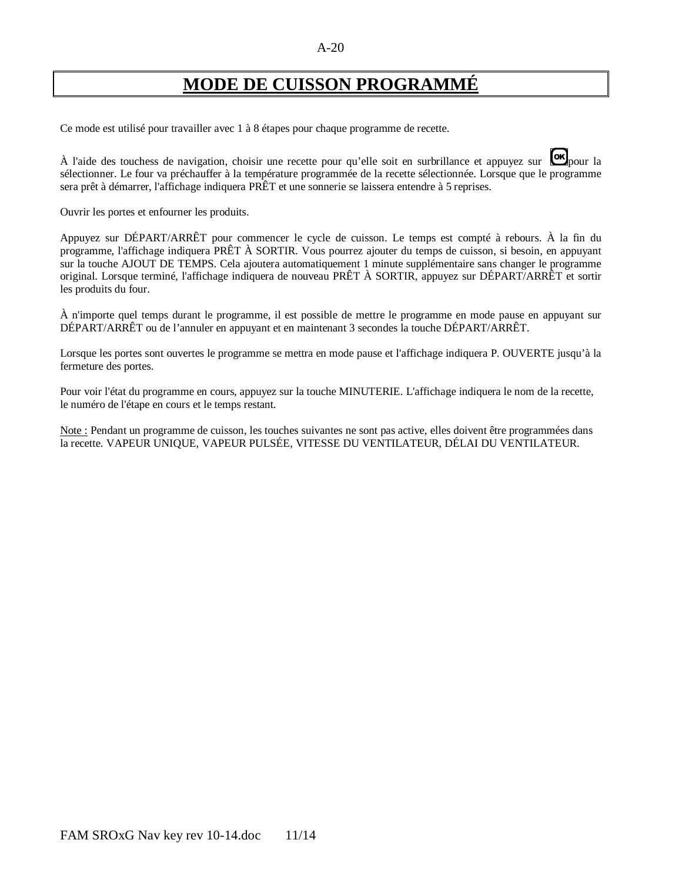# **MODE DE CUISSON PROGRAMMÉ**

Ce mode est utilisé pour travailler avec 1 à 8 étapes pour chaque programme de recette.

À l'aide des touchess de navigation, choisir une recette pour qu'elle soit en surbrillance et appuyez sur **on** pour la sélectionner. Le four va préchauffer à la température programmée de la recette sélectionnée. Lorsque que le programme sera prêt à démarrer, l'affichage indiquera PRÊT et une sonnerie se laissera entendre à 5 reprises.

Ouvrir les portes et enfourner les produits.

Appuyez sur DÉPART/ARRÊT pour commencer le cycle de cuisson. Le temps est compté à rebours. À la fin du programme, l'affichage indiquera PRÊT À SORTIR. Vous pourrez ajouter du temps de cuisson, si besoin, en appuyant sur la touche AJOUT DE TEMPS. Cela ajoutera automatiquement 1 minute supplémentaire sans changer le programme original. Lorsque terminé, l'affichage indiquera de nouveau PRÊT À SORTIR, appuyez sur DÉPART/ARRÊT et sortir les produits du four.

À n'importe quel temps durant le programme, il est possible de mettre le programme en mode pause en appuyant sur DÉPART/ARRÊT ou de l'annuler en appuyant et en maintenant 3 secondes la touche DÉPART/ARRÊT.

Lorsque les portes sont ouvertes le programme se mettra en mode pause et l'affichage indiquera P. OUVERTE jusqu'à la fermeture des portes.

Pour voir l'état du programme en cours, appuyez sur la touche MINUTERIE. L'affichage indiquera le nom de la recette, le numéro de l'étape en cours et le temps restant.

Note : Pendant un programme de cuisson, les touches suivantes ne sont pas active, elles doivent être programmées dans la recette. VAPEUR UNIQUE, VAPEUR PULSÉE, VITESSE DU VENTILATEUR, DÉLAI DU VENTILATEUR.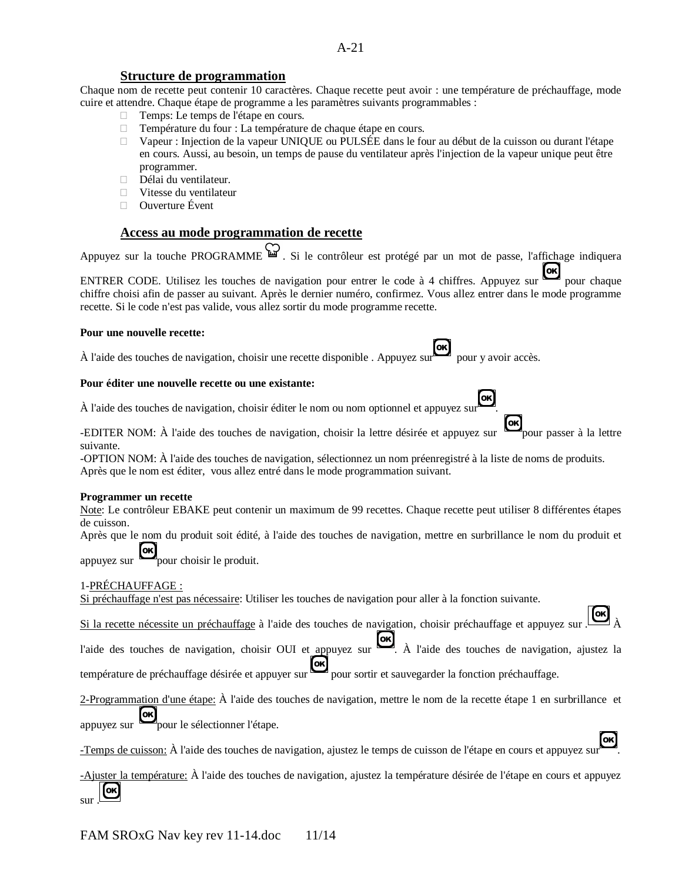#### **Structure de programmation**

Chaque nom de recette peut contenir 10 caractères. Chaque recette peut avoir : une température de préchauffage, mode cuire et attendre. Chaque étape de programme a les paramètres suivants programmables :

- □ Temps: Le temps de l'étape en cours.
- □ Température du four : La température de chaque étape en cours.
- Vapeur : Injection de la vapeur UNIQUE ou PULSÉE dans le four au début de la cuisson ou durant l'étape en cours. Aussi, au besoin, un temps de pause du ventilateur après l'injection de la vapeur unique peut être programmer.
- Délai du ventilateur.
- Vitesse du ventilateur
- □ Ouverture Évent

#### **Access au mode programmation de recette**

Appuyez sur la touche PROGRAMME . Si le contrôleur est protégé par un mot de passe, l'affichage indiquera

ENTRER CODE. Utilisez les touches de navigation pour entrer le code à 4 chiffres. Appuyez sur **les** pour chaque chiffre choisi efin de navigation entre le code à 4 chiffres. Appuyez sur chiffre choisi afin de passer au suivant. Après le dernier numéro, confirmez. Vous allez entrer dans le mode programme recette. Si le code n'est pas valide, vous allez sortir du mode programme recette.

#### **Pour une nouvelle recette:**

À l'aide des touches de navigation, choisir une recette disponible . Appuyez sur pour y avoir accès.

#### **Pour éditer une nouvelle recette ou une existante:**

À l'aide des touches de navigation, choisir éditer le nom ou nom optionnel et appuyez sur .

-EDITER NOM: À l'aide des touches de navigation, choisir la lettre désirée et appuyez sur pour passer à la lettre suivante.

-OPTION NOM: À l'aide des touches de navigation, sélectionnez un nom préenregistré à la liste de noms de produits. Après que le nom est éditer, vous allez entré dans le mode programmation suivant.

#### **Programmer un recette**

Note: Le contrôleur EBAKE peut contenir un maximum de 99 recettes. Chaque recette peut utiliser 8 différentes étapes de cuisson.

Après que le nom du produit soit édité, à l'aide des touches de navigation, mettre en surbrillance le nom du produit et

appuyez sur  $\cos$  pour choisir le produit.

#### 1-PRÉCHAUFFAGE :

Si préchauffage n'est pas nécessaire: Utiliser les touches de navigation pour aller à la fonction suivante.

Si la recette nécessite un préchauffage à l'aide des touches de navigation, choisir préchauffage et appuyez sur .

l'aide des touches de navigation, choisir OUI et appuyez sur  $\overrightarrow{OR}$ . À l'aide des touches de navigation, ajustez la température de préchauffage désirée et appuyer sur **ox** pour sortir et sauvegarder la fonction préchauffage.

2-Programmation d'une étape: À l'aide des touches de navigation, mettre le nom de la recette étape 1 en surbrillance et

appuyez sur  $\Box$  pour le sélectionner l'étape.

[OK] -Temps de cuisson: À l'aide des touches de navigation, ajustez le temps de cuisson de l'étape en cours et appuyez sur .

-Ajuster la température: À l'aide des touches de navigation, ajustez la température désirée de l'étape en cours et appuyez [ok] sur .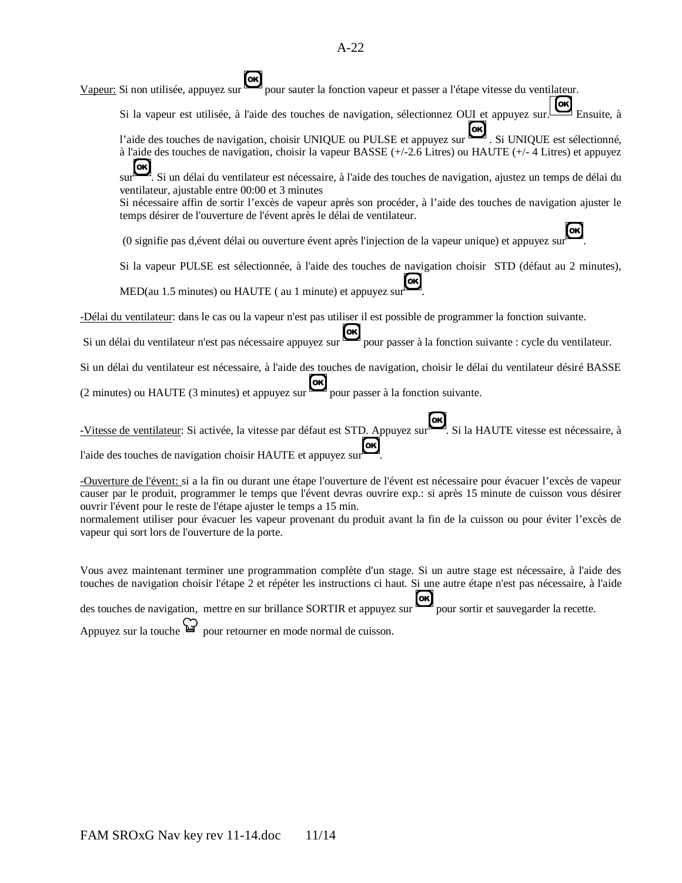| $[\mathsf{ok}]$<br>Vapeur: Si non utilisée, appuyez sur pour sauter la fonction vapeur et passer a l'étape vitesse du ventilateur.                                                                                                             |
|------------------------------------------------------------------------------------------------------------------------------------------------------------------------------------------------------------------------------------------------|
| OK<br>Si la vapeur est utilisée, à l'aide des touches de navigation, sélectionnez OUI et appuyez sur. Ensuite, à                                                                                                                               |
| l'aide des touches de navigation, choisir UNIQUE ou PULSE et appuyez sur est. Si UNIQUE est sélectionné,<br>à l'aide des touches de navigation, choisir la vapeur BASSE (+/-2.6 Litres) ou HAUTE (+/-4 Litres) et appuyez                      |
| [ok]<br>Si un délai du ventilateur est nécessaire, à l'aide des touches de navigation, ajustez un temps de délai du                                                                                                                            |
| ventilateur, ajustable entre 00:00 et 3 minutes<br>Si nécessaire affin de sortir l'excès de vapeur après son procéder, à l'aide des touches de navigation ajuster le<br>temps désirer de l'ouverture de l'évent après le délai de ventilateur. |
| (0 signifie pas d, évent délai ou ouverture évent après l'injection de la vapeur unique) et appuyez sur                                                                                                                                        |
| Si la vapeur PULSE est sélectionnée, à l'aide des touches de navigation choisir STD (défaut au 2 minutes),                                                                                                                                     |
| MED(au 1.5 minutes) ou HAUTE (au 1 minute) et appuyez sur                                                                                                                                                                                      |
| -Délai du ventilateur: dans le cas ou la vapeur n'est pas utiliser il est possible de programmer la fonction suivante.                                                                                                                         |
| Si un délai du ventilateur n'est pas nécessaire appuyez sur pour passer à la fonction suivante : cycle du ventilateur.                                                                                                                         |
| Si un délai du ventilateur est nécessaire, à l'aide des touches de navigation, choisir le délai du ventilateur désiré BASSE                                                                                                                    |
| (2 minutes) ou HAUTE (3 minutes) et appuyez sur pour passer à la fonction suivante.                                                                                                                                                            |
| Vitesse de ventilateur: Si activée, la vitesse par défaut est STD. Appuyez sur Si la HAUTE vitesse est nécessaire, à                                                                                                                           |
| l'aide des touches de navigation choisir HAUTE et appuyez sur                                                                                                                                                                                  |
| -Ouverture de l'évent si a la fin ou durant une étane l'ouverture de l'évent est nécessaire pour évacuer l'excès de vapeur                                                                                                                     |

urant une étape l'ouverture de l'évent est nécessaire pour évacuer l'excès de vapeur causer par le produit, programmer le temps que l'évent devras ouvrire exp.: si après 15 minute de cuisson vous désirer ouvrir l'évent pour le reste de l'étape ajuster le temps a 15 min.

normalement utiliser pour évacuer les vapeur provenant du produit avant la fin de la cuisson ou pour éviter l'excès de vapeur qui sort lors de l'ouverture de la porte.

Vous avez maintenant terminer une programmation complète d'un stage. Si un autre stage est nécessaire, à l'aide des touches de navigation choisir l'étape 2 et répéter les instructions ci haut. Si une autre étape n'est pas nécessaire, à l'aide

des touches de navigation, mettre en sur brillance SORTIR et appuyez sur pour sortir et sauvegarder la recette.

Appuyez sur la touche  $\bigoplus$  pour retourner en mode normal de cuisson.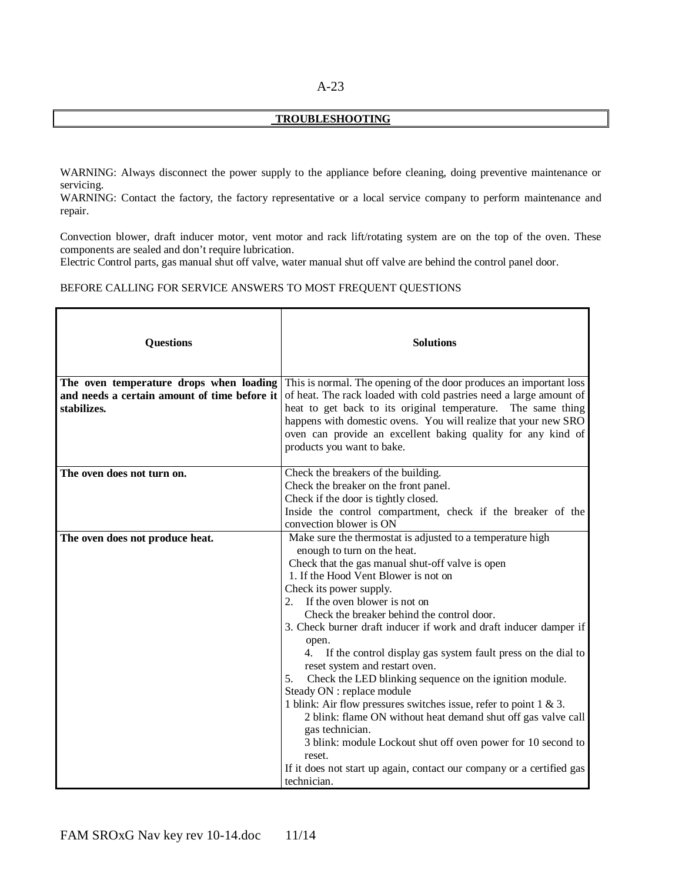#### A-23

#### **TROUBLESHOOTING**

WARNING: Always disconnect the power supply to the appliance before cleaning, doing preventive maintenance or servicing.

WARNING: Contact the factory, the factory representative or a local service company to perform maintenance and repair.

Convection blower, draft inducer motor, vent motor and rack lift/rotating system are on the top of the oven. These components are sealed and don't require lubrication.

Electric Control parts, gas manual shut off valve, water manual shut off valve are behind the control panel door.

#### BEFORE CALLING FOR SERVICE ANSWERS TO MOST FREQUENT QUESTIONS

| <b>Questions</b>                                                                        | <b>Solutions</b>                                                                                                                         |
|-----------------------------------------------------------------------------------------|------------------------------------------------------------------------------------------------------------------------------------------|
| The oven temperature drops when loading<br>and needs a certain amount of time before it | This is normal. The opening of the door produces an important loss<br>of heat. The rack loaded with cold pastries need a large amount of |
| stabilizes.                                                                             | heat to get back to its original temperature. The same thing                                                                             |
|                                                                                         | happens with domestic ovens. You will realize that your new SRO                                                                          |
|                                                                                         | oven can provide an excellent baking quality for any kind of<br>products you want to bake.                                               |
|                                                                                         |                                                                                                                                          |
| The oven does not turn on.                                                              | Check the breakers of the building.                                                                                                      |
|                                                                                         | Check the breaker on the front panel.                                                                                                    |
|                                                                                         | Check if the door is tightly closed.                                                                                                     |
|                                                                                         | Inside the control compartment, check if the breaker of the<br>convection blower is ON                                                   |
| The oven does not produce heat.                                                         | Make sure the thermostat is adjusted to a temperature high                                                                               |
|                                                                                         | enough to turn on the heat.                                                                                                              |
|                                                                                         | Check that the gas manual shut-off valve is open                                                                                         |
|                                                                                         | 1. If the Hood Vent Blower is not on                                                                                                     |
|                                                                                         | Check its power supply.                                                                                                                  |
|                                                                                         | If the oven blower is not on<br>2.                                                                                                       |
|                                                                                         | Check the breaker behind the control door.                                                                                               |
|                                                                                         | 3. Check burner draft inducer if work and draft inducer damper if                                                                        |
|                                                                                         | open.                                                                                                                                    |
|                                                                                         | 4. If the control display gas system fault press on the dial to                                                                          |
|                                                                                         | reset system and restart oven.<br>Check the LED blinking sequence on the ignition module.<br>5.                                          |
|                                                                                         | Steady ON : replace module                                                                                                               |
|                                                                                         | 1 blink: Air flow pressures switches issue, refer to point $1 \& 3$ .                                                                    |
|                                                                                         | 2 blink: flame ON without heat demand shut off gas valve call                                                                            |
|                                                                                         | gas technician.                                                                                                                          |
|                                                                                         | 3 blink: module Lockout shut off oven power for 10 second to                                                                             |
|                                                                                         | reset.                                                                                                                                   |
|                                                                                         | If it does not start up again, contact our company or a certified gas                                                                    |
|                                                                                         | technician.                                                                                                                              |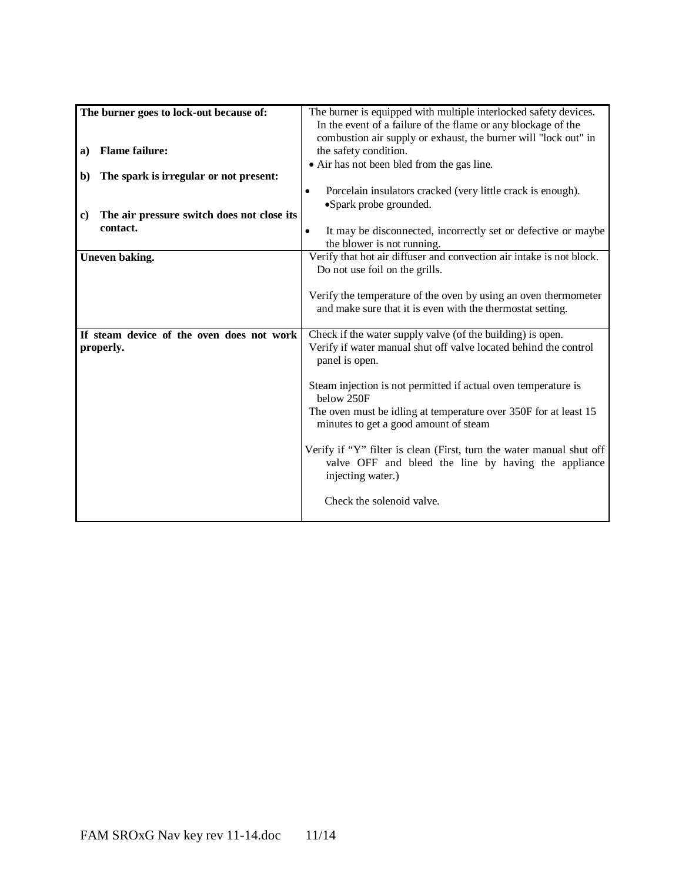| The burner goes to lock-out because of:          | The burner is equipped with multiple interlocked safety devices.           |
|--------------------------------------------------|----------------------------------------------------------------------------|
|                                                  | In the event of a failure of the flame or any blockage of the              |
|                                                  | combustion air supply or exhaust, the burner will "lock out" in            |
| <b>Flame failure:</b><br>a)                      | the safety condition.                                                      |
|                                                  | • Air has not been bled from the gas line.                                 |
| The spark is irregular or not present:<br>b)     |                                                                            |
|                                                  | Porcelain insulators cracked (very little crack is enough).<br>$\bullet$   |
|                                                  | •Spark probe grounded.                                                     |
| The air pressure switch does not close its<br>c) |                                                                            |
| contact.                                         |                                                                            |
|                                                  | It may be disconnected, incorrectly set or defective or maybe<br>$\bullet$ |
|                                                  | the blower is not running.                                                 |
| Uneven baking.                                   | Verify that hot air diffuser and convection air intake is not block.       |
|                                                  | Do not use foil on the grills.                                             |
|                                                  |                                                                            |
|                                                  | Verify the temperature of the oven by using an oven thermometer            |
|                                                  | and make sure that it is even with the thermostat setting.                 |
|                                                  |                                                                            |
| If steam device of the oven does not work        | Check if the water supply valve (of the building) is open.                 |
| properly.                                        | Verify if water manual shut off valve located behind the control           |
|                                                  | panel is open.                                                             |
|                                                  |                                                                            |
|                                                  | Steam injection is not permitted if actual oven temperature is             |
|                                                  | below 250F                                                                 |
|                                                  | The oven must be idling at temperature over 350F for at least 15           |
|                                                  | minutes to get a good amount of steam                                      |
|                                                  |                                                                            |
|                                                  |                                                                            |
|                                                  | Verify if "Y" filter is clean (First, turn the water manual shut off       |
|                                                  | valve OFF and bleed the line by having the appliance                       |
|                                                  | injecting water.)                                                          |
|                                                  |                                                                            |
|                                                  | Check the solenoid valve.                                                  |
|                                                  |                                                                            |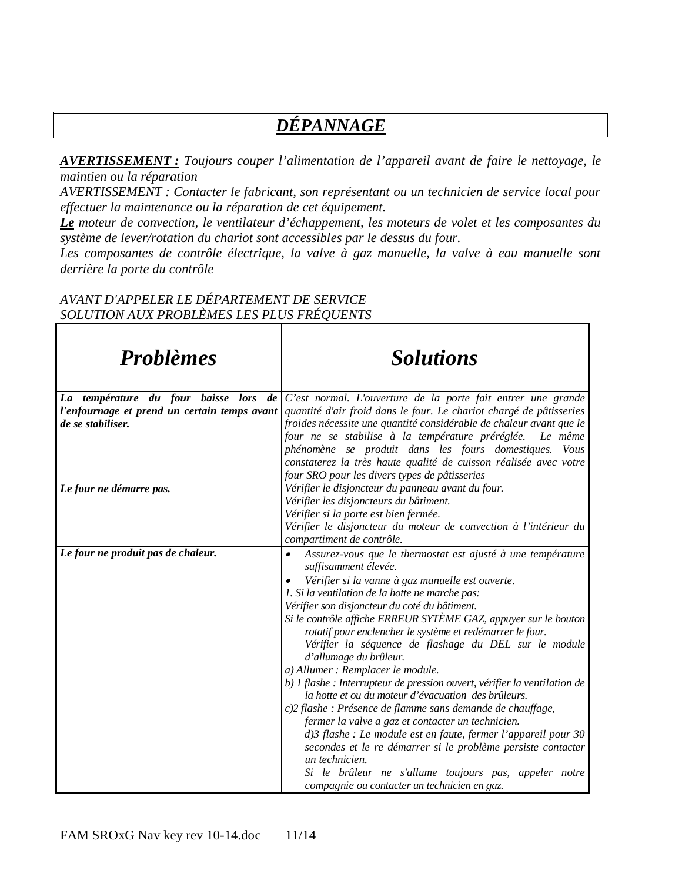# *DÉPANNAGE*

*AVERTISSEMENT : Toujours couper l'alimentation de l'appareil avant de faire le nettoyage, le maintien ou la réparation*

*AVERTISSEMENT : Contacter le fabricant, son représentant ou un technicien de service local pour effectuer la maintenance ou la réparation de cet équipement.*

*Le moteur de convection, le ventilateur d'échappement, les moteurs de volet et les composantes du système de lever/rotation du chariot sont accessibles par le dessus du four.*

Les composantes de contrôle électrique, la valve à gaz manuelle, la valve à eau manuelle sont *derrière la porte du contrôle*

٦

#### *AVANT D'APPELER LE DÉPARTEMENT DE SERVICE SOLUTION AUX PROBLÈMES LES PLUS FRÉQUENTS*

| <b>Problèmes</b>                                                                         | <b>Solutions</b>                                                                                                                    |
|------------------------------------------------------------------------------------------|-------------------------------------------------------------------------------------------------------------------------------------|
| La température du four baisse lors<br>de<br>l'enfournage et prend un certain temps avant | C'est normal. L'ouverture de la porte fait entrer une grande<br>quantité d'air froid dans le four. Le chariot chargé de pâtisseries |
| de se stabiliser.                                                                        | froides nécessite une quantité considérable de chaleur avant que le                                                                 |
|                                                                                          | four ne se stabilise à la température préréglée.<br>Le même                                                                         |
|                                                                                          | phénomène se produit dans les fours domestiques. Vous                                                                               |
|                                                                                          | constaterez la très haute qualité de cuisson réalisée avec votre                                                                    |
| Le four ne démarre pas.                                                                  | four SRO pour les divers types de pâtisseries<br>Vérifier le disjoncteur du panneau avant du four.                                  |
|                                                                                          | Vérifier les disjoncteurs du bâtiment.                                                                                              |
|                                                                                          | Vérifier si la porte est bien fermée.                                                                                               |
|                                                                                          | Vérifier le disjoncteur du moteur de convection à l'intérieur du                                                                    |
|                                                                                          | compartiment de contrôle.                                                                                                           |
| Le four ne produit pas de chaleur.                                                       | Assurez-vous que le thermostat est ajusté à une température<br>$\bullet$<br>suffisamment élevée.                                    |
|                                                                                          | Vérifier si la vanne à gaz manuelle est ouverte.                                                                                    |
|                                                                                          | 1. Si la ventilation de la hotte ne marche pas:                                                                                     |
|                                                                                          | Vérifier son disjoncteur du coté du bâtiment.                                                                                       |
|                                                                                          | Si le contrôle affiche ERREUR SYTÈME GAZ, appuyer sur le bouton<br>rotatif pour enclencher le système et redémarrer le four.        |
|                                                                                          | Vérifier la séquence de flashage du DEL sur le module                                                                               |
|                                                                                          | d'allumage du brûleur.                                                                                                              |
|                                                                                          | a) Allumer : Remplacer le module.                                                                                                   |
|                                                                                          | b) I flashe : Interrupteur de pression ouvert, vérifier la ventilation de                                                           |
|                                                                                          | la hotte et ou du moteur d'évacuation des brûleurs.                                                                                 |
|                                                                                          | c)2 flashe : Présence de flamme sans demande de chauffage,                                                                          |
|                                                                                          | fermer la valve a gaz et contacter un technicien.<br>d)3 flashe : Le module est en faute, fermer l'appareil pour 30                 |
|                                                                                          | secondes et le re démarrer si le problème persiste contacter                                                                        |
|                                                                                          | un technicien.                                                                                                                      |
|                                                                                          | Si le brûleur ne s'allume toujours pas, appeler notre                                                                               |
|                                                                                          | compagnie ou contacter un technicien en gaz.                                                                                        |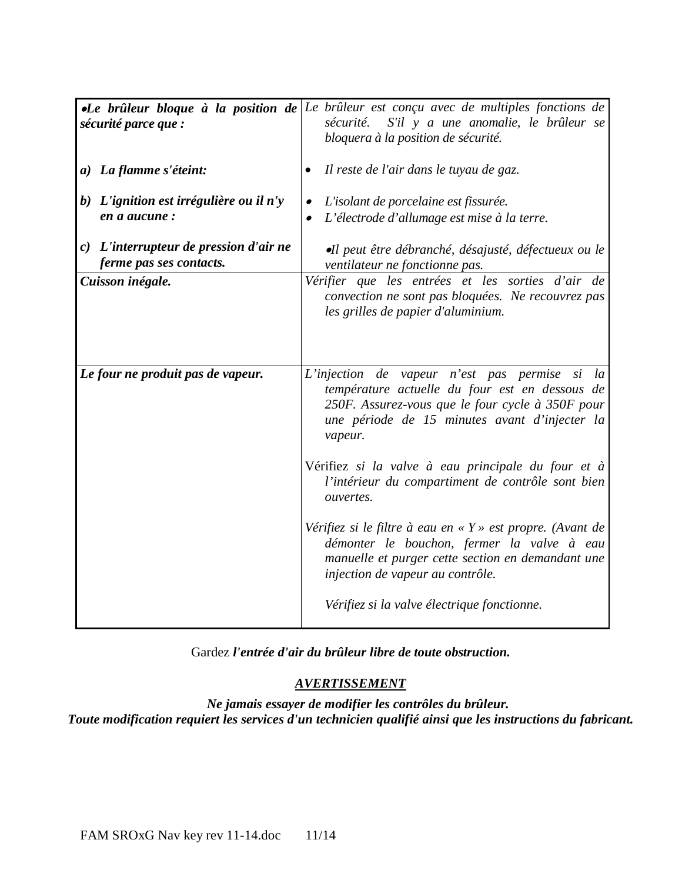| sécurité parce que :                                                | •Le brûleur bloque à la position de Le brûleur est conçu avec de multiples fonctions de<br>S'il y a une anomalie, le brûleur se<br>sécurité.<br>bloquera à la position de sécurité.                                |
|---------------------------------------------------------------------|--------------------------------------------------------------------------------------------------------------------------------------------------------------------------------------------------------------------|
| a) La flamme s'éteint:                                              | Il reste de l'air dans le tuyau de gaz.                                                                                                                                                                            |
| b) L'ignition est irrégulière ou il n'y<br>en a aucune:             | L'isolant de porcelaine est fissurée.<br>$\bullet$<br>L'électrode d'allumage est mise à la terre.                                                                                                                  |
| $c)$ L'interrupteur de pression d'air ne<br>ferme pas ses contacts. | •Il peut être débranché, désajusté, défectueux ou le<br>ventilateur ne fonctionne pas.                                                                                                                             |
| Cuisson inégale.                                                    | Vérifier que les entrées et les sorties d'air de<br>convection ne sont pas bloquées. Ne recouvrez pas<br>les grilles de papier d'aluminium.                                                                        |
| Le four ne produit pas de vapeur.                                   | L'injection de vapeur n'est pas permise si<br>la<br>température actuelle du four est en dessous de<br>250F. Assurez-vous que le four cycle à 350F pour<br>une période de 15 minutes avant d'injecter la<br>vapeur. |
|                                                                     | Vérifiez si la valve à eau principale du four et à<br>l'intérieur du compartiment de contrôle sont bien<br>ouvertes.                                                                                               |
|                                                                     | Vérifiez si le filtre à eau en « $Y$ » est propre. (Avant de<br>démonter le bouchon, fermer la valve à eau<br>manuelle et purger cette section en demandant une<br>injection de vapeur au contrôle.                |
|                                                                     | Vérifiez si la valve électrique fonctionne.                                                                                                                                                                        |

Gardez *l'entrée d'air du brûleur libre de toute obstruction.*

### *AVERTISSEMENT*

*Ne jamais essayer de modifier les contrôles du brûleur. Toute modification requiert les services d'un technicien qualifié ainsi que les instructions du fabricant.*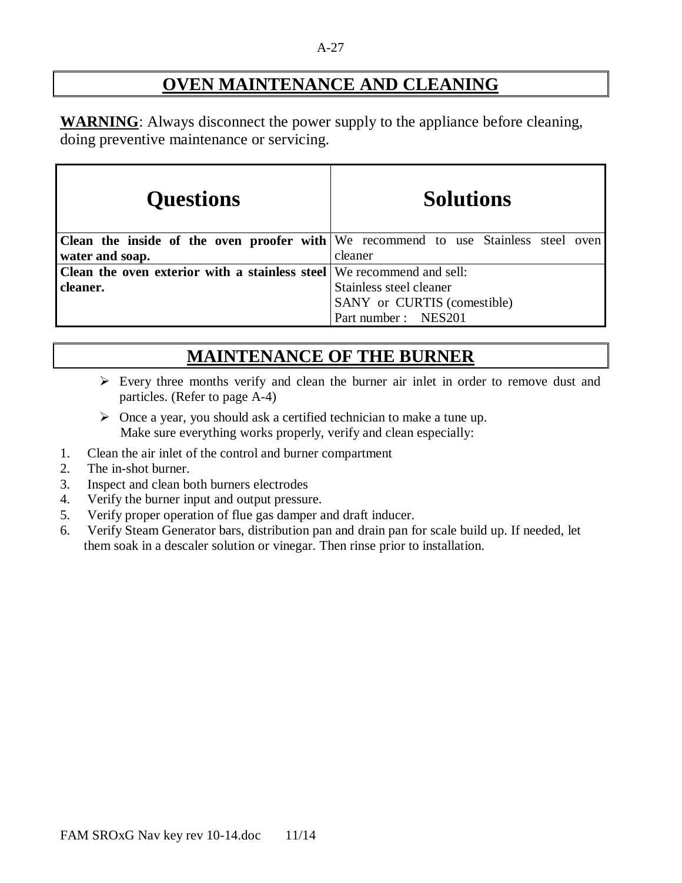#### A-27

# **OVEN MAINTENANCE AND CLEANING**

**WARNING**: Always disconnect the power supply to the appliance before cleaning, doing preventive maintenance or servicing.

| <b>Questions</b>                                                      | <b>Solutions</b>                                                                          |
|-----------------------------------------------------------------------|-------------------------------------------------------------------------------------------|
|                                                                       | <b>Clean the inside of the oven proofer with</b> We recommend to use Stainless steel oven |
| water and soap.                                                       | cleaner                                                                                   |
| Clean the oven exterior with a stainless steel We recommend and sell: |                                                                                           |
| cleaner.                                                              | Stainless steel cleaner                                                                   |
|                                                                       | SANY or CURTIS (comestible)                                                               |
|                                                                       | Part number: NES201                                                                       |

# **MAINTENANCE OF THE BURNER**

- $\triangleright$  Every three months verify and clean the burner air inlet in order to remove dust and particles. (Refer to page A-4)
- $\triangleright$  Once a year, you should ask a certified technician to make a tune up. Make sure everything works properly, verify and clean especially:
- 1. Clean the air inlet of the control and burner compartment
- 2. The in-shot burner.
- 3. Inspect and clean both burners electrodes
- 4. Verify the burner input and output pressure.
- 5. Verify proper operation of flue gas damper and draft inducer.
- 6. Verify Steam Generator bars, distribution pan and drain pan for scale build up. If needed, let them soak in a descaler solution or vinegar. Then rinse prior to installation.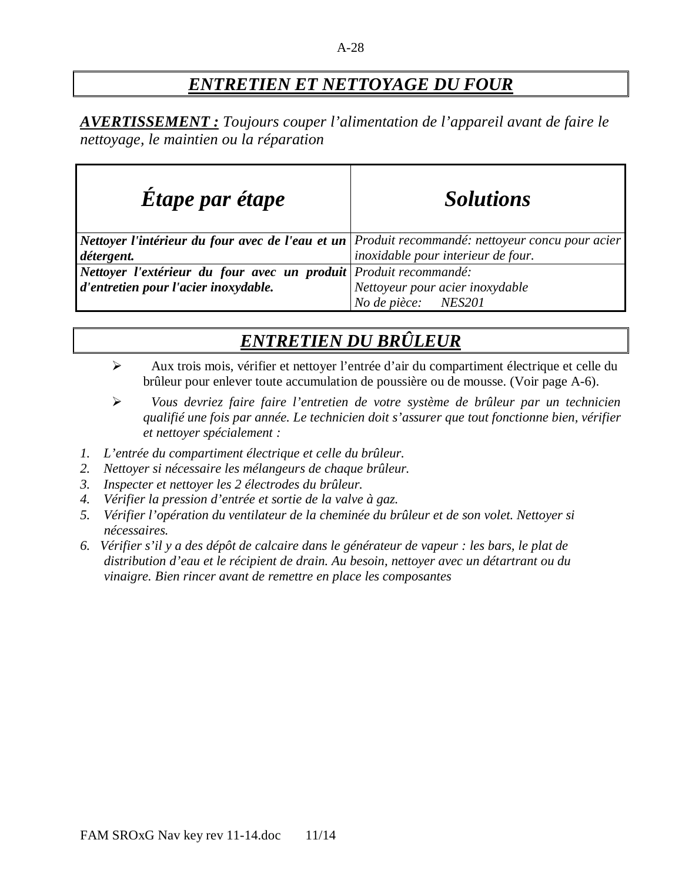# *ENTRETIEN ET NETTOYAGE DU FOUR*

*AVERTISSEMENT : Toujours couper l'alimentation de l'appareil avant de faire le nettoyage, le maintien ou la réparation* 

| Etape par étape                                                  | <b>Solutions</b>                                                                                |
|------------------------------------------------------------------|-------------------------------------------------------------------------------------------------|
|                                                                  | Nettoyer l'intérieur du four avec de l'eau et un Produit recommandé: nettoyeur concu pour acier |
| détergent.                                                       | inoxidable pour interieur de four.                                                              |
| Nettoyer l'extérieur du four avec un produit Produit recommandé: |                                                                                                 |
| d'entretien pour l'acier inoxydable.                             | Nettoyeur pour acier inoxydable                                                                 |
|                                                                  | <b>NES201</b><br>No de pièce:                                                                   |

# *ENTRETIEN DU BRÛLEUR*

- Aux trois mois, vérifier et nettoyer l'entrée d'air du compartiment électrique et celle du brûleur pour enlever toute accumulation de poussière ou de mousse. (Voir page A-6).
- *Vous devriez faire faire l'entretien de votre système de brûleur par un technicien qualifié une fois par année. Le technicien doit s'assurer que tout fonctionne bien, vérifier et nettoyer spécialement :*
- *1. L'entrée du compartiment électrique et celle du brûleur.*
- *2. Nettoyer si nécessaire les mélangeurs de chaque brûleur.*
- *3. Inspecter et nettoyer les 2 électrodes du brûleur.*
- *4. Vérifier la pression d'entrée et sortie de la valve à gaz.*
- *5. Vérifier l'opération du ventilateur de la cheminée du brûleur et de son volet. Nettoyer si nécessaires.*
- *6. Vérifier s'il y a des dépôt de calcaire dans le générateur de vapeur : les bars, le plat de distribution d'eau et le récipient de drain. Au besoin, nettoyer avec un détartrant ou du vinaigre. Bien rincer avant de remettre en place les composantes*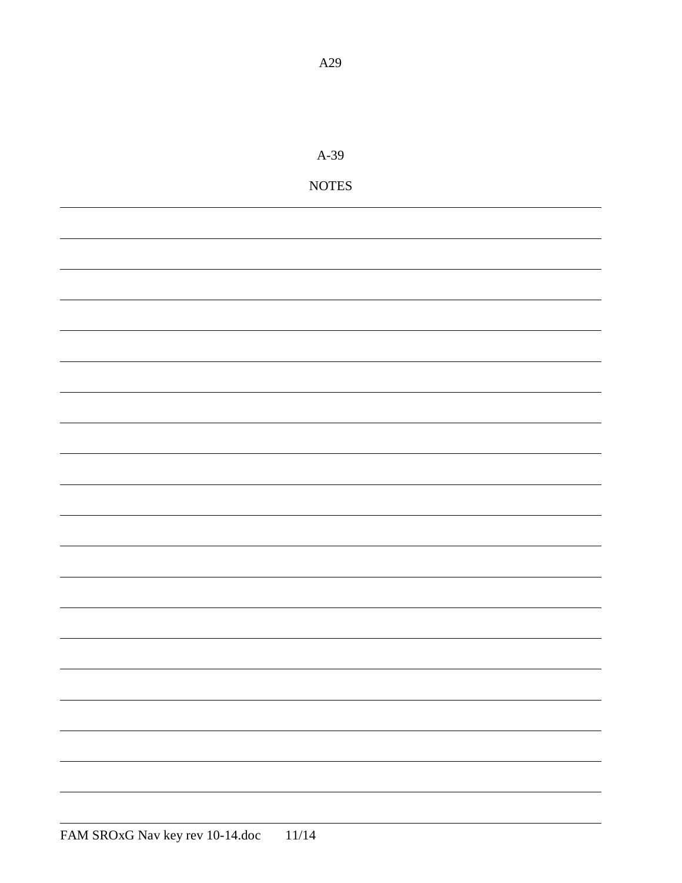| $A-39$                 |
|------------------------|
| $\operatorname{NOTES}$ |
|                        |
|                        |
|                        |
|                        |
|                        |
|                        |
|                        |
|                        |
|                        |
|                        |
|                        |
|                        |
|                        |
|                        |
|                        |
|                        |
|                        |
|                        |
|                        |
|                        |
|                        |
|                        |
|                        |
|                        |

A29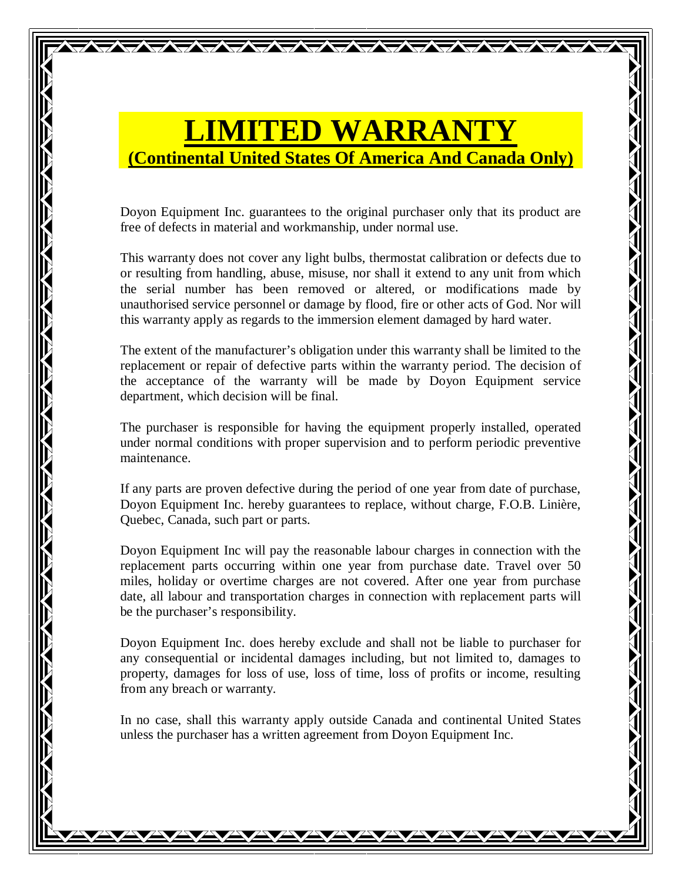# **LIMITED WARRANTY (Continental United States Of America And Canada Only)**

Doyon Equipment Inc. guarantees to the original purchaser only that its product are free of defects in material and workmanship, under normal use.

This warranty does not cover any light bulbs, thermostat calibration or defects due to or resulting from handling, abuse, misuse, nor shall it extend to any unit from which the serial number has been removed or altered, or modifications made by unauthorised service personnel or damage by flood, fire or other acts of God. Nor will this warranty apply as regards to the immersion element damaged by hard water.

The extent of the manufacturer's obligation under this warranty shall be limited to the replacement or repair of defective parts within the warranty period. The decision of the acceptance of the warranty will be made by Doyon Equipment service department, which decision will be final.

The purchaser is responsible for having the equipment properly installed, operated under normal conditions with proper supervision and to perform periodic preventive maintenance.

If any parts are proven defective during the period of one year from date of purchase, Doyon Equipment Inc. hereby guarantees to replace, without charge, F.O.B. Linière, Quebec, Canada, such part or parts.

Doyon Equipment Inc will pay the reasonable labour charges in connection with the replacement parts occurring within one year from purchase date. Travel over 50 miles, holiday or overtime charges are not covered. After one year from purchase date, all labour and transportation charges in connection with replacement parts will be the purchaser's responsibility.

Doyon Equipment Inc. does hereby exclude and shall not be liable to purchaser for any consequential or incidental damages including, but not limited to, damages to property, damages for loss of use, loss of time, loss of profits or income, resulting from any breach or warranty.

In no case, shall this warranty apply outside Canada and continental United States unless the purchaser has a written agreement from Doyon Equipment Inc.